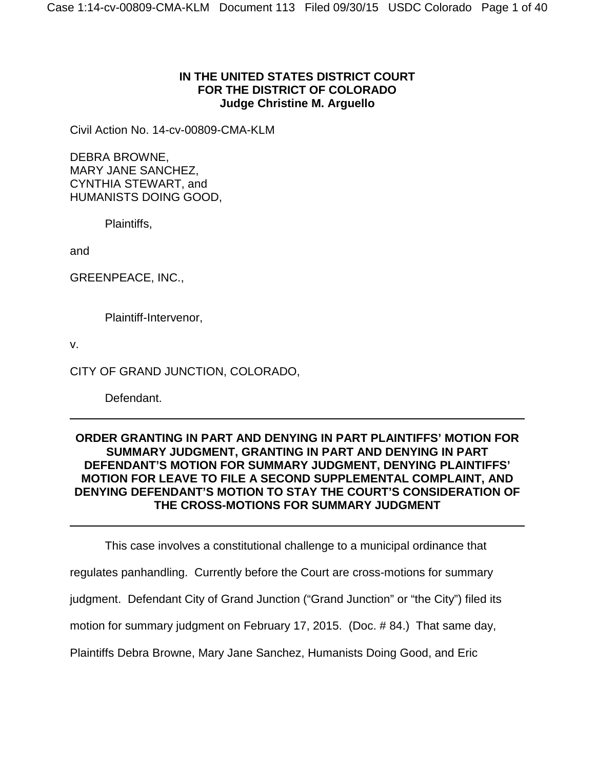# **IN THE UNITED STATES DISTRICT COURT FOR THE DISTRICT OF COLORADO Judge Christine M. Arguello**

Civil Action No. 14-cv-00809-CMA-KLM

DEBRA BROWNE, MARY JANE SANCHEZ, CYNTHIA STEWART, and HUMANISTS DOING GOOD,

Plaintiffs,

and

GREENPEACE, INC.,

Plaintiff-Intervenor,

v.

CITY OF GRAND JUNCTION, COLORADO,

Defendant.

# **ORDER GRANTING IN PART AND DENYING IN PART PLAINTIFFS' MOTION FOR SUMMARY JUDGMENT, GRANTING IN PART AND DENYING IN PART DEFENDANT'S MOTION FOR SUMMARY JUDGMENT, DENYING PLAINTIFFS' MOTION FOR LEAVE TO FILE A SECOND SUPPLEMENTAL COMPLAINT, AND DENYING DEFENDANT'S MOTION TO STAY THE COURT'S CONSIDERATION OF THE CROSS-MOTIONS FOR SUMMARY JUDGMENT**

This case involves a constitutional challenge to a municipal ordinance that

regulates panhandling. Currently before the Court are cross-motions for summary

judgment. Defendant City of Grand Junction ("Grand Junction" or "the City") filed its

motion for summary judgment on February 17, 2015. (Doc. # 84.) That same day,

Plaintiffs Debra Browne, Mary Jane Sanchez, Humanists Doing Good, and Eric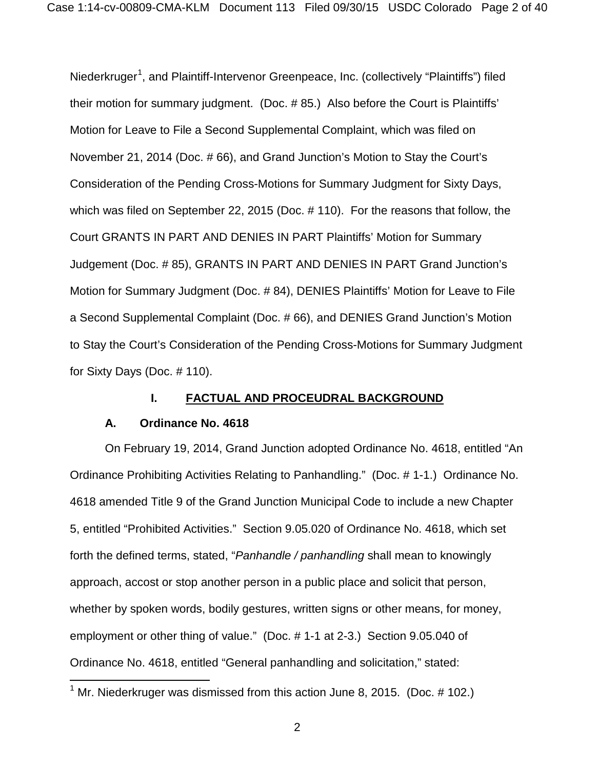Niederkruger<sup>[1](#page-1-0)</sup>, and Plaintiff-Intervenor Greenpeace, Inc. (collectively "Plaintiffs") filed their motion for summary judgment. (Doc. # 85.) Also before the Court is Plaintiffs' Motion for Leave to File a Second Supplemental Complaint, which was filed on November 21, 2014 (Doc. # 66), and Grand Junction's Motion to Stay the Court's Consideration of the Pending Cross-Motions for Summary Judgment for Sixty Days, which was filed on September 22, 2015 (Doc. # 110). For the reasons that follow, the Court GRANTS IN PART AND DENIES IN PART Plaintiffs' Motion for Summary Judgement (Doc. # 85), GRANTS IN PART AND DENIES IN PART Grand Junction's Motion for Summary Judgment (Doc. # 84), DENIES Plaintiffs' Motion for Leave to File a Second Supplemental Complaint (Doc. # 66), and DENIES Grand Junction's Motion to Stay the Court's Consideration of the Pending Cross-Motions for Summary Judgment for Sixty Days (Doc. # 110).

## **I. FACTUAL AND PROCEUDRAL BACKGROUND**

#### **A. Ordinance No. 4618**

 $\overline{\phantom{a}}$ 

On February 19, 2014, Grand Junction adopted Ordinance No. 4618, entitled "An Ordinance Prohibiting Activities Relating to Panhandling." (Doc. # 1-1.) Ordinance No. 4618 amended Title 9 of the Grand Junction Municipal Code to include a new Chapter 5, entitled "Prohibited Activities." Section 9.05.020 of Ordinance No. 4618, which set forth the defined terms, stated, "*Panhandle / panhandling* shall mean to knowingly approach, accost or stop another person in a public place and solicit that person, whether by spoken words, bodily gestures, written signs or other means, for money, employment or other thing of value." (Doc. # 1-1 at 2-3.) Section 9.05.040 of Ordinance No. 4618, entitled "General panhandling and solicitation," stated:

<span id="page-1-0"></span> $1$  Mr. Niederkruger was dismissed from this action June 8, 2015. (Doc.  $\#$  102.)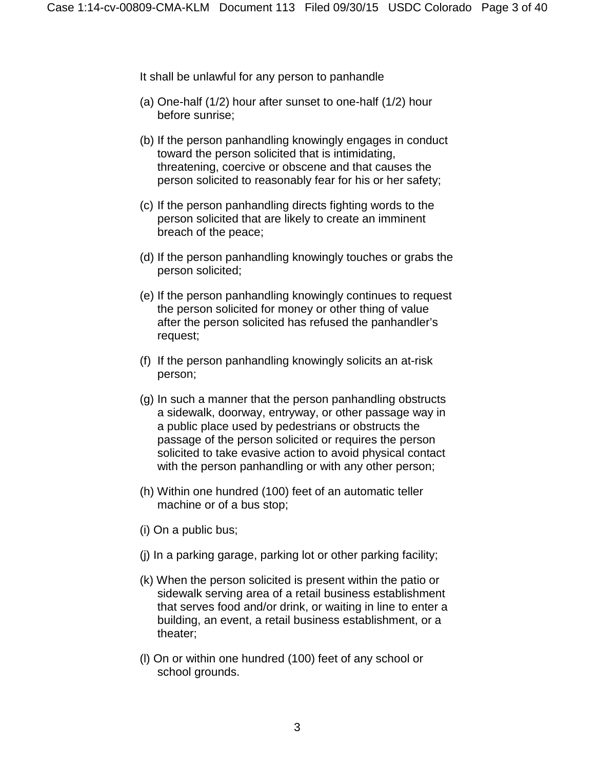It shall be unlawful for any person to panhandle

- (a) One-half (1/2) hour after sunset to one-half (1/2) hour before sunrise;
- (b) If the person panhandling knowingly engages in conduct toward the person solicited that is intimidating, threatening, coercive or obscene and that causes the person solicited to reasonably fear for his or her safety;
- (c) If the person panhandling directs fighting words to the person solicited that are likely to create an imminent breach of the peace;
- (d) If the person panhandling knowingly touches or grabs the person solicited;
- (e) If the person panhandling knowingly continues to request the person solicited for money or other thing of value after the person solicited has refused the panhandler's request;
- (f) If the person panhandling knowingly solicits an at-risk person;
- (g) In such a manner that the person panhandling obstructs a sidewalk, doorway, entryway, or other passage way in a public place used by pedestrians or obstructs the passage of the person solicited or requires the person solicited to take evasive action to avoid physical contact with the person panhandling or with any other person;
- (h) Within one hundred (100) feet of an automatic teller machine or of a bus stop;
- (i) On a public bus;
- (j) In a parking garage, parking lot or other parking facility;
- (k) When the person solicited is present within the patio or sidewalk serving area of a retail business establishment that serves food and/or drink, or waiting in line to enter a building, an event, a retail business establishment, or a theater;
- (l) On or within one hundred (100) feet of any school or school grounds.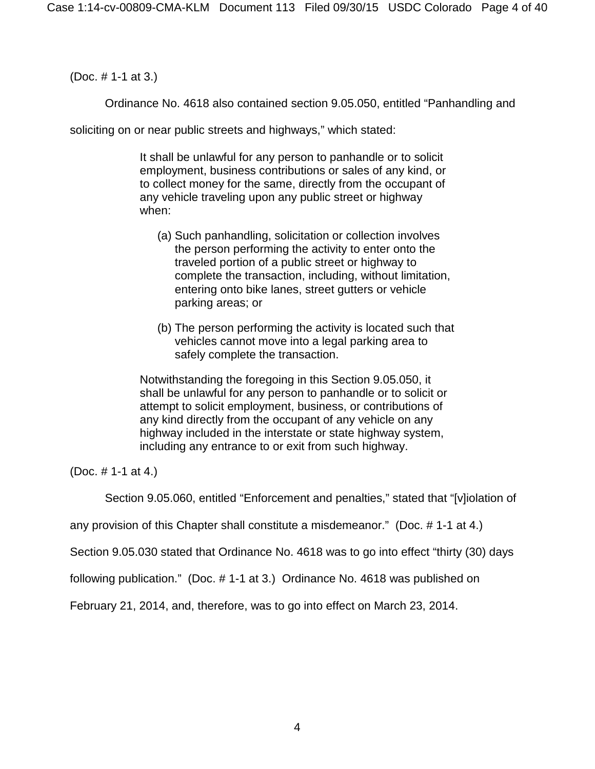(Doc. # 1-1 at 3.)

Ordinance No. 4618 also contained section 9.05.050, entitled "Panhandling and

soliciting on or near public streets and highways," which stated:

It shall be unlawful for any person to panhandle or to solicit employment, business contributions or sales of any kind, or to collect money for the same, directly from the occupant of any vehicle traveling upon any public street or highway when:

- (a) Such panhandling, solicitation or collection involves the person performing the activity to enter onto the traveled portion of a public street or highway to complete the transaction, including, without limitation, entering onto bike lanes, street gutters or vehicle parking areas; or
- (b) The person performing the activity is located such that vehicles cannot move into a legal parking area to safely complete the transaction.

Notwithstanding the foregoing in this Section 9.05.050, it shall be unlawful for any person to panhandle or to solicit or attempt to solicit employment, business, or contributions of any kind directly from the occupant of any vehicle on any highway included in the interstate or state highway system, including any entrance to or exit from such highway.

(Doc. # 1-1 at 4.)

Section 9.05.060, entitled "Enforcement and penalties," stated that "[v]iolation of

any provision of this Chapter shall constitute a misdemeanor." (Doc. # 1-1 at 4.)

Section 9.05.030 stated that Ordinance No. 4618 was to go into effect "thirty (30) days

following publication." (Doc. # 1-1 at 3.) Ordinance No. 4618 was published on

February 21, 2014, and, therefore, was to go into effect on March 23, 2014.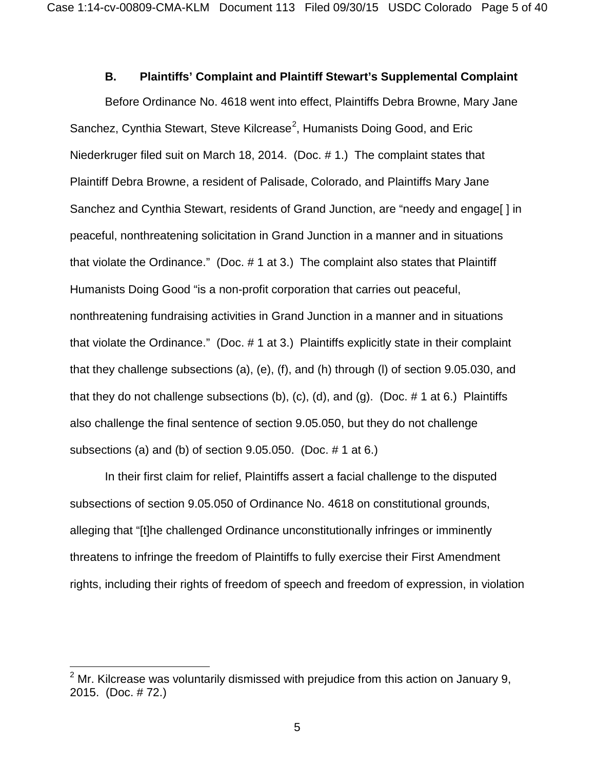## **B. Plaintiffs' Complaint and Plaintiff Stewart's Supplemental Complaint**

Before Ordinance No. 4618 went into effect, Plaintiffs Debra Browne, Mary Jane Sanchez, Cynthia Stewart, Steve Kilcrease<sup>[2](#page-4-0)</sup>, Humanists Doing Good, and Eric Niederkruger filed suit on March 18, 2014. (Doc. # 1.) The complaint states that Plaintiff Debra Browne, a resident of Palisade, Colorado, and Plaintiffs Mary Jane Sanchez and Cynthia Stewart, residents of Grand Junction, are "needy and engage[ ] in peaceful, nonthreatening solicitation in Grand Junction in a manner and in situations that violate the Ordinance." (Doc. # 1 at 3.) The complaint also states that Plaintiff Humanists Doing Good "is a non-profit corporation that carries out peaceful, nonthreatening fundraising activities in Grand Junction in a manner and in situations that violate the Ordinance." (Doc. # 1 at 3.) Plaintiffs explicitly state in their complaint that they challenge subsections (a), (e), (f), and (h) through (l) of section 9.05.030, and that they do not challenge subsections (b), (c), (d), and (g). (Doc.  $\#$  1 at 6.) Plaintiffs also challenge the final sentence of section 9.05.050, but they do not challenge subsections (a) and (b) of section 9.05.050. (Doc. # 1 at 6.)

In their first claim for relief, Plaintiffs assert a facial challenge to the disputed subsections of section 9.05.050 of Ordinance No. 4618 on constitutional grounds, alleging that "[t]he challenged Ordinance unconstitutionally infringes or imminently threatens to infringe the freedom of Plaintiffs to fully exercise their First Amendment rights, including their rights of freedom of speech and freedom of expression, in violation

 $\overline{\phantom{a}}$ 

<span id="page-4-0"></span> $2$  Mr. Kilcrease was voluntarily dismissed with prejudice from this action on January 9. 2015. (Doc. # 72.)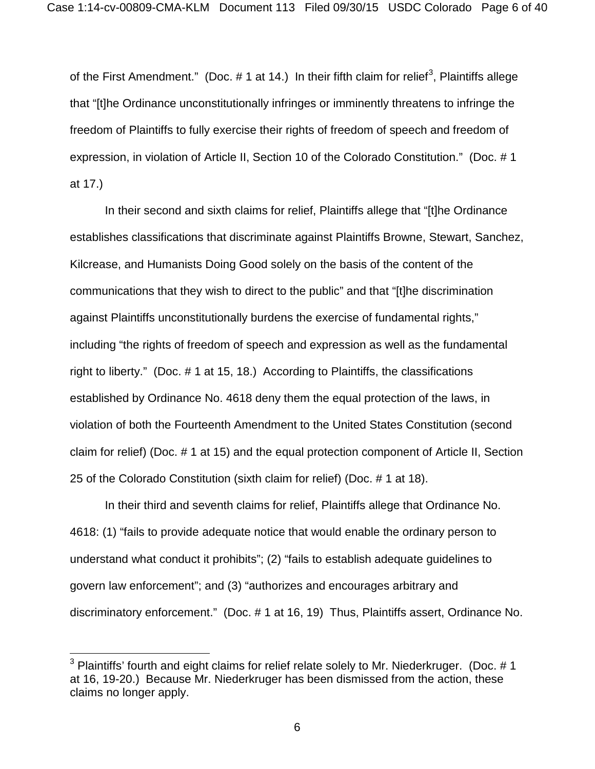of the First Amendment." (Doc.  $\#$  1 at 14.) In their fifth claim for relief<sup>[3](#page-5-0)</sup>, Plaintiffs allege that "[t]he Ordinance unconstitutionally infringes or imminently threatens to infringe the freedom of Plaintiffs to fully exercise their rights of freedom of speech and freedom of expression, in violation of Article II, Section 10 of the Colorado Constitution." (Doc. # 1 at 17.)

In their second and sixth claims for relief, Plaintiffs allege that "[t]he Ordinance establishes classifications that discriminate against Plaintiffs Browne, Stewart, Sanchez, Kilcrease, and Humanists Doing Good solely on the basis of the content of the communications that they wish to direct to the public" and that "[t]he discrimination against Plaintiffs unconstitutionally burdens the exercise of fundamental rights," including "the rights of freedom of speech and expression as well as the fundamental right to liberty." (Doc. # 1 at 15, 18.) According to Plaintiffs, the classifications established by Ordinance No. 4618 deny them the equal protection of the laws, in violation of both the Fourteenth Amendment to the United States Constitution (second claim for relief) (Doc. # 1 at 15) and the equal protection component of Article II, Section 25 of the Colorado Constitution (sixth claim for relief) (Doc. # 1 at 18).

In their third and seventh claims for relief, Plaintiffs allege that Ordinance No. 4618: (1) "fails to provide adequate notice that would enable the ordinary person to understand what conduct it prohibits"; (2) "fails to establish adequate guidelines to govern law enforcement"; and (3) "authorizes and encourages arbitrary and discriminatory enforcement." (Doc. # 1 at 16, 19) Thus, Plaintiffs assert, Ordinance No.

 $\overline{a}$ 

<span id="page-5-0"></span> $3$  Plaintiffs' fourth and eight claims for relief relate solely to Mr. Niederkruger. (Doc. # 1 at 16, 19-20.) Because Mr. Niederkruger has been dismissed from the action, these claims no longer apply.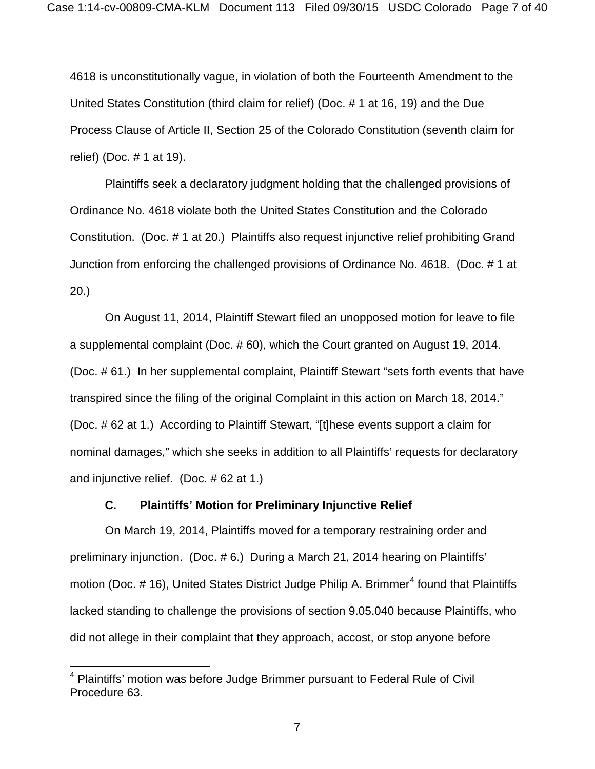4618 is unconstitutionally vague, in violation of both the Fourteenth Amendment to the United States Constitution (third claim for relief) (Doc. # 1 at 16, 19) and the Due Process Clause of Article II, Section 25 of the Colorado Constitution (seventh claim for relief) (Doc. # 1 at 19).

Plaintiffs seek a declaratory judgment holding that the challenged provisions of Ordinance No. 4618 violate both the United States Constitution and the Colorado Constitution. (Doc. # 1 at 20.) Plaintiffs also request injunctive relief prohibiting Grand Junction from enforcing the challenged provisions of Ordinance No. 4618. (Doc. # 1 at 20.)

On August 11, 2014, Plaintiff Stewart filed an unopposed motion for leave to file a supplemental complaint (Doc. # 60), which the Court granted on August 19, 2014. (Doc. # 61.) In her supplemental complaint, Plaintiff Stewart "sets forth events that have transpired since the filing of the original Complaint in this action on March 18, 2014." (Doc. # 62 at 1.) According to Plaintiff Stewart, "[t]hese events support a claim for nominal damages," which she seeks in addition to all Plaintiffs' requests for declaratory and injunctive relief. (Doc. # 62 at 1.)

#### **C. Plaintiffs' Motion for Preliminary Injunctive Relief**

On March 19, 2014, Plaintiffs moved for a temporary restraining order and preliminary injunction. (Doc. # 6.) During a March 21, 2014 hearing on Plaintiffs' motion (Doc.  $#$  16), United States District Judge Philip A. Brimmer<sup>[4](#page-6-0)</sup> found that Plaintiffs lacked standing to challenge the provisions of section 9.05.040 because Plaintiffs, who did not allege in their complaint that they approach, accost, or stop anyone before

 $\overline{a}$ 

<span id="page-6-0"></span><sup>&</sup>lt;sup>4</sup> Plaintiffs' motion was before Judge Brimmer pursuant to Federal Rule of Civil Procedure 63.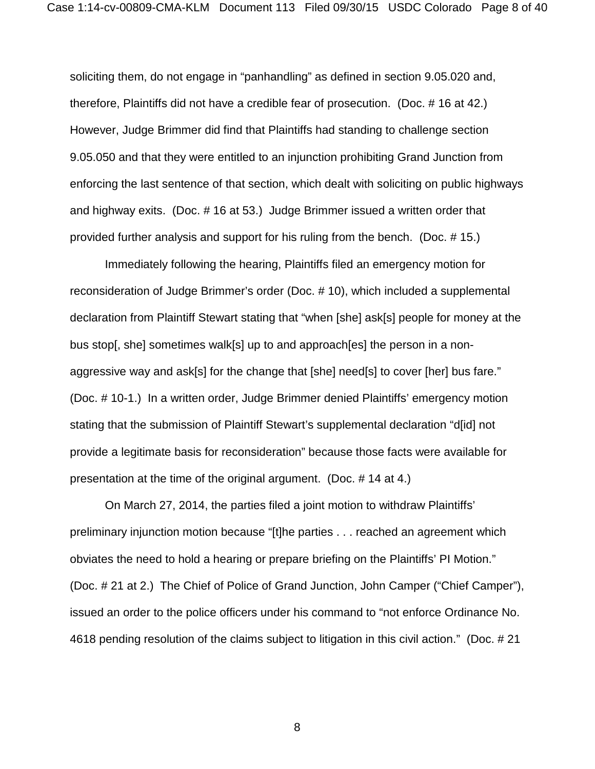soliciting them, do not engage in "panhandling" as defined in section 9.05.020 and, therefore, Plaintiffs did not have a credible fear of prosecution. (Doc. # 16 at 42.) However, Judge Brimmer did find that Plaintiffs had standing to challenge section 9.05.050 and that they were entitled to an injunction prohibiting Grand Junction from enforcing the last sentence of that section, which dealt with soliciting on public highways and highway exits. (Doc. # 16 at 53.) Judge Brimmer issued a written order that provided further analysis and support for his ruling from the bench. (Doc. # 15.)

Immediately following the hearing, Plaintiffs filed an emergency motion for reconsideration of Judge Brimmer's order (Doc. # 10), which included a supplemental declaration from Plaintiff Stewart stating that "when [she] ask[s] people for money at the bus stop[, she] sometimes walk[s] up to and approach[es] the person in a nonaggressive way and ask[s] for the change that [she] need[s] to cover [her] bus fare." (Doc. # 10-1.) In a written order, Judge Brimmer denied Plaintiffs' emergency motion stating that the submission of Plaintiff Stewart's supplemental declaration "d[id] not provide a legitimate basis for reconsideration" because those facts were available for presentation at the time of the original argument. (Doc. # 14 at 4.)

On March 27, 2014, the parties filed a joint motion to withdraw Plaintiffs' preliminary injunction motion because "[t]he parties . . . reached an agreement which obviates the need to hold a hearing or prepare briefing on the Plaintiffs' PI Motion." (Doc. # 21 at 2.) The Chief of Police of Grand Junction, John Camper ("Chief Camper"), issued an order to the police officers under his command to "not enforce Ordinance No. 4618 pending resolution of the claims subject to litigation in this civil action." (Doc. # 21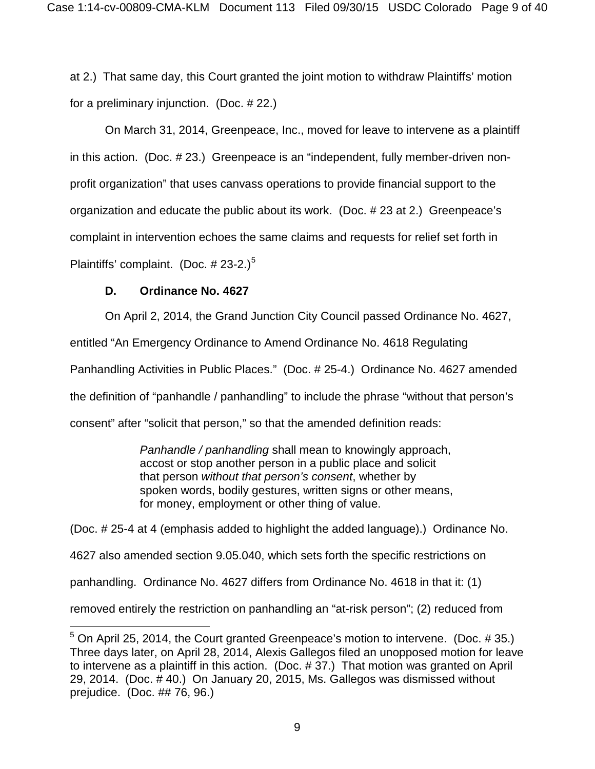at 2.) That same day, this Court granted the joint motion to withdraw Plaintiffs' motion for a preliminary injunction. (Doc. # 22.)

On March 31, 2014, Greenpeace, Inc., moved for leave to intervene as a plaintiff in this action. (Doc. # 23.) Greenpeace is an "independent, fully member-driven nonprofit organization" that uses canvass operations to provide financial support to the organization and educate the public about its work. (Doc. # 23 at 2.) Greenpeace's complaint in intervention echoes the same claims and requests for relief set forth in Plaintiffs' complaint. (Doc.  $\#$  23-2.)<sup>[5](#page-8-0)</sup>

# **D. Ordinance No. 4627**

 $\overline{a}$ 

On April 2, 2014, the Grand Junction City Council passed Ordinance No. 4627, entitled "An Emergency Ordinance to Amend Ordinance No. 4618 Regulating Panhandling Activities in Public Places." (Doc. # 25-4.) Ordinance No. 4627 amended the definition of "panhandle / panhandling" to include the phrase "without that person's consent" after "solicit that person," so that the amended definition reads:

> *Panhandle / panhandling* shall mean to knowingly approach, accost or stop another person in a public place and solicit that person *without that person's consent*, whether by spoken words, bodily gestures, written signs or other means, for money, employment or other thing of value.

(Doc. # 25-4 at 4 (emphasis added to highlight the added language).) Ordinance No. 4627 also amended section 9.05.040, which sets forth the specific restrictions on panhandling. Ordinance No. 4627 differs from Ordinance No. 4618 in that it: (1) removed entirely the restriction on panhandling an "at-risk person"; (2) reduced from

<span id="page-8-0"></span> $5$  On April 25, 2014, the Court granted Greenpeace's motion to intervene. (Doc. #35.) Three days later, on April 28, 2014, Alexis Gallegos filed an unopposed motion for leave to intervene as a plaintiff in this action. (Doc. # 37.) That motion was granted on April 29, 2014. (Doc. # 40.) On January 20, 2015, Ms. Gallegos was dismissed without prejudice. (Doc. ## 76, 96.)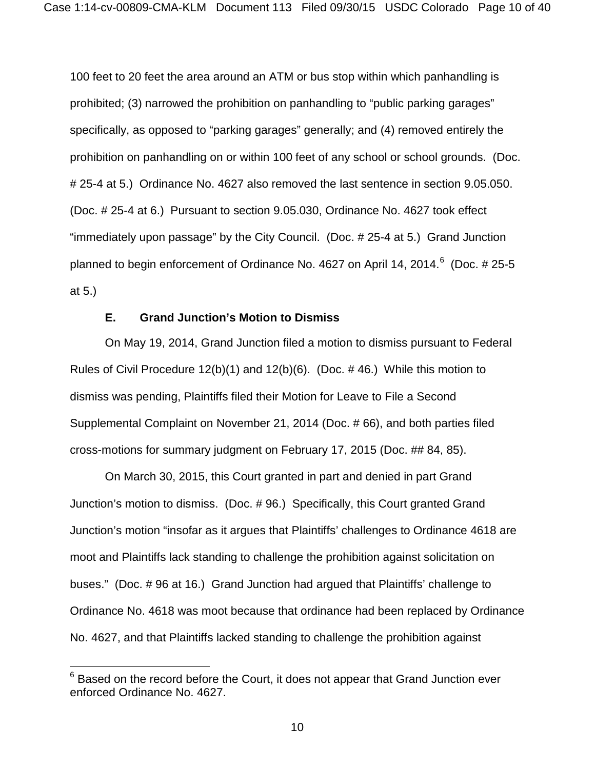100 feet to 20 feet the area around an ATM or bus stop within which panhandling is prohibited; (3) narrowed the prohibition on panhandling to "public parking garages" specifically, as opposed to "parking garages" generally; and (4) removed entirely the prohibition on panhandling on or within 100 feet of any school or school grounds. (Doc. # 25-4 at 5.) Ordinance No. 4627 also removed the last sentence in section 9.05.050. (Doc. # 25-4 at 6.) Pursuant to section 9.05.030, Ordinance No. 4627 took effect "immediately upon passage" by the City Council. (Doc. # 25-4 at 5.) Grand Junction planned to begin enforcement of Ordinance No. 4[6](#page-9-0)27 on April 14, 2014. $^6\,$  (Doc. # 25-5 at 5.)

# **E. Grand Junction's Motion to Dismiss**

On May 19, 2014, Grand Junction filed a motion to dismiss pursuant to Federal Rules of Civil Procedure 12(b)(1) and 12(b)(6). (Doc. # 46.) While this motion to dismiss was pending, Plaintiffs filed their Motion for Leave to File a Second Supplemental Complaint on November 21, 2014 (Doc. # 66), and both parties filed cross-motions for summary judgment on February 17, 2015 (Doc. ## 84, 85).

On March 30, 2015, this Court granted in part and denied in part Grand Junction's motion to dismiss. (Doc. # 96.) Specifically, this Court granted Grand Junction's motion "insofar as it argues that Plaintiffs' challenges to Ordinance 4618 are moot and Plaintiffs lack standing to challenge the prohibition against solicitation on buses." (Doc. # 96 at 16.) Grand Junction had argued that Plaintiffs' challenge to Ordinance No. 4618 was moot because that ordinance had been replaced by Ordinance No. 4627, and that Plaintiffs lacked standing to challenge the prohibition against

 $\overline{\phantom{a}}$ 

<span id="page-9-0"></span> $6$  Based on the record before the Court, it does not appear that Grand Junction ever enforced Ordinance No. 4627.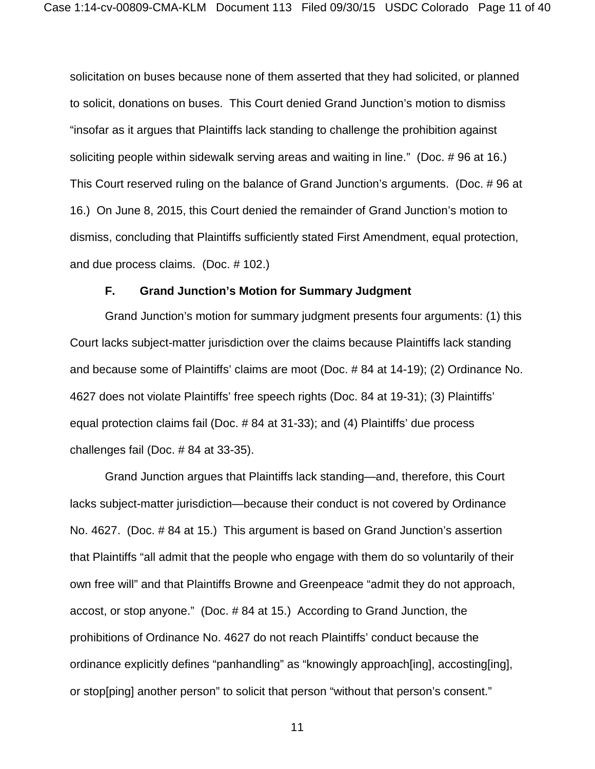solicitation on buses because none of them asserted that they had solicited, or planned to solicit, donations on buses. This Court denied Grand Junction's motion to dismiss "insofar as it argues that Plaintiffs lack standing to challenge the prohibition against soliciting people within sidewalk serving areas and waiting in line." (Doc. # 96 at 16.) This Court reserved ruling on the balance of Grand Junction's arguments. (Doc. # 96 at 16.) On June 8, 2015, this Court denied the remainder of Grand Junction's motion to dismiss, concluding that Plaintiffs sufficiently stated First Amendment, equal protection, and due process claims. (Doc. # 102.)

## **F. Grand Junction's Motion for Summary Judgment**

Grand Junction's motion for summary judgment presents four arguments: (1) this Court lacks subject-matter jurisdiction over the claims because Plaintiffs lack standing and because some of Plaintiffs' claims are moot (Doc. # 84 at 14-19); (2) Ordinance No. 4627 does not violate Plaintiffs' free speech rights (Doc. 84 at 19-31); (3) Plaintiffs' equal protection claims fail (Doc. # 84 at 31-33); and (4) Plaintiffs' due process challenges fail (Doc. # 84 at 33-35).

Grand Junction argues that Plaintiffs lack standing—and, therefore, this Court lacks subject-matter jurisdiction—because their conduct is not covered by Ordinance No. 4627. (Doc. # 84 at 15.) This argument is based on Grand Junction's assertion that Plaintiffs "all admit that the people who engage with them do so voluntarily of their own free will" and that Plaintiffs Browne and Greenpeace "admit they do not approach, accost, or stop anyone." (Doc. # 84 at 15.) According to Grand Junction, the prohibitions of Ordinance No. 4627 do not reach Plaintiffs' conduct because the ordinance explicitly defines "panhandling" as "knowingly approach[ing], accosting[ing], or stop[ping] another person" to solicit that person "without that person's consent."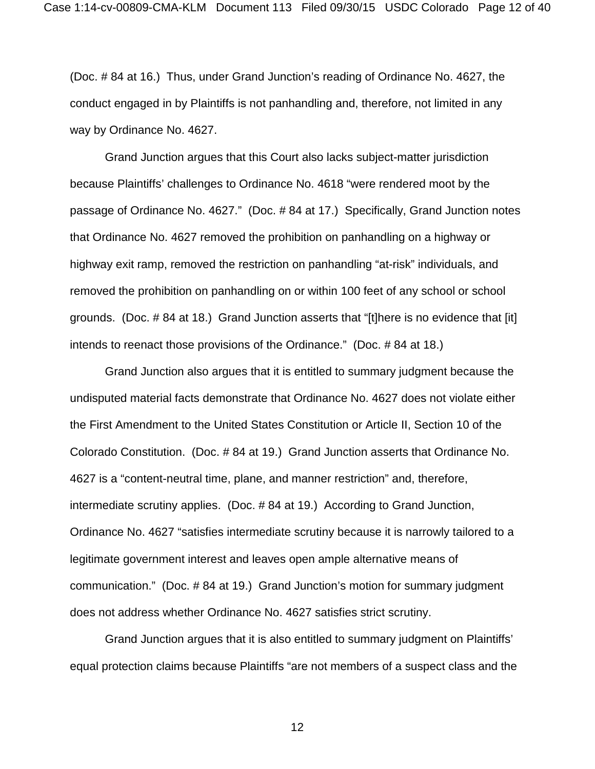(Doc. # 84 at 16.) Thus, under Grand Junction's reading of Ordinance No. 4627, the conduct engaged in by Plaintiffs is not panhandling and, therefore, not limited in any way by Ordinance No. 4627.

Grand Junction argues that this Court also lacks subject-matter jurisdiction because Plaintiffs' challenges to Ordinance No. 4618 "were rendered moot by the passage of Ordinance No. 4627." (Doc. # 84 at 17.) Specifically, Grand Junction notes that Ordinance No. 4627 removed the prohibition on panhandling on a highway or highway exit ramp, removed the restriction on panhandling "at-risk" individuals, and removed the prohibition on panhandling on or within 100 feet of any school or school grounds. (Doc. # 84 at 18.) Grand Junction asserts that "[t]here is no evidence that [it] intends to reenact those provisions of the Ordinance." (Doc. # 84 at 18.)

Grand Junction also argues that it is entitled to summary judgment because the undisputed material facts demonstrate that Ordinance No. 4627 does not violate either the First Amendment to the United States Constitution or Article II, Section 10 of the Colorado Constitution. (Doc. # 84 at 19.) Grand Junction asserts that Ordinance No. 4627 is a "content-neutral time, plane, and manner restriction" and, therefore, intermediate scrutiny applies. (Doc. # 84 at 19.) According to Grand Junction, Ordinance No. 4627 "satisfies intermediate scrutiny because it is narrowly tailored to a legitimate government interest and leaves open ample alternative means of communication." (Doc. # 84 at 19.) Grand Junction's motion for summary judgment does not address whether Ordinance No. 4627 satisfies strict scrutiny.

Grand Junction argues that it is also entitled to summary judgment on Plaintiffs' equal protection claims because Plaintiffs "are not members of a suspect class and the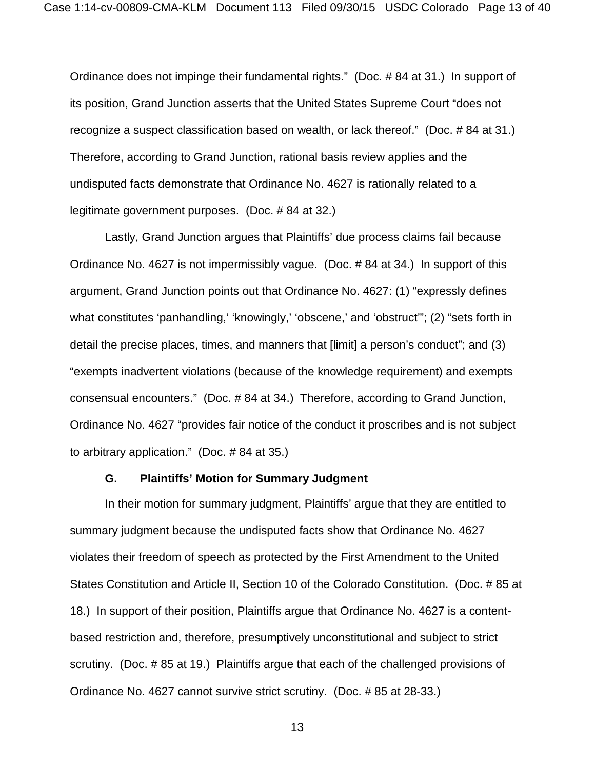Ordinance does not impinge their fundamental rights." (Doc. # 84 at 31.) In support of its position, Grand Junction asserts that the United States Supreme Court "does not recognize a suspect classification based on wealth, or lack thereof." (Doc. # 84 at 31.) Therefore, according to Grand Junction, rational basis review applies and the undisputed facts demonstrate that Ordinance No. 4627 is rationally related to a legitimate government purposes. (Doc. # 84 at 32.)

Lastly, Grand Junction argues that Plaintiffs' due process claims fail because Ordinance No. 4627 is not impermissibly vague. (Doc. # 84 at 34.) In support of this argument, Grand Junction points out that Ordinance No. 4627: (1) "expressly defines what constitutes 'panhandling,' 'knowingly,' 'obscene,' and 'obstruct'"; (2) "sets forth in detail the precise places, times, and manners that [limit] a person's conduct"; and (3) "exempts inadvertent violations (because of the knowledge requirement) and exempts consensual encounters." (Doc. # 84 at 34.) Therefore, according to Grand Junction, Ordinance No. 4627 "provides fair notice of the conduct it proscribes and is not subject to arbitrary application." (Doc. # 84 at 35.)

## **G. Plaintiffs' Motion for Summary Judgment**

In their motion for summary judgment, Plaintiffs' argue that they are entitled to summary judgment because the undisputed facts show that Ordinance No. 4627 violates their freedom of speech as protected by the First Amendment to the United States Constitution and Article II, Section 10 of the Colorado Constitution. (Doc. # 85 at 18.) In support of their position, Plaintiffs argue that Ordinance No. 4627 is a contentbased restriction and, therefore, presumptively unconstitutional and subject to strict scrutiny. (Doc. # 85 at 19.) Plaintiffs argue that each of the challenged provisions of Ordinance No. 4627 cannot survive strict scrutiny. (Doc. # 85 at 28-33.)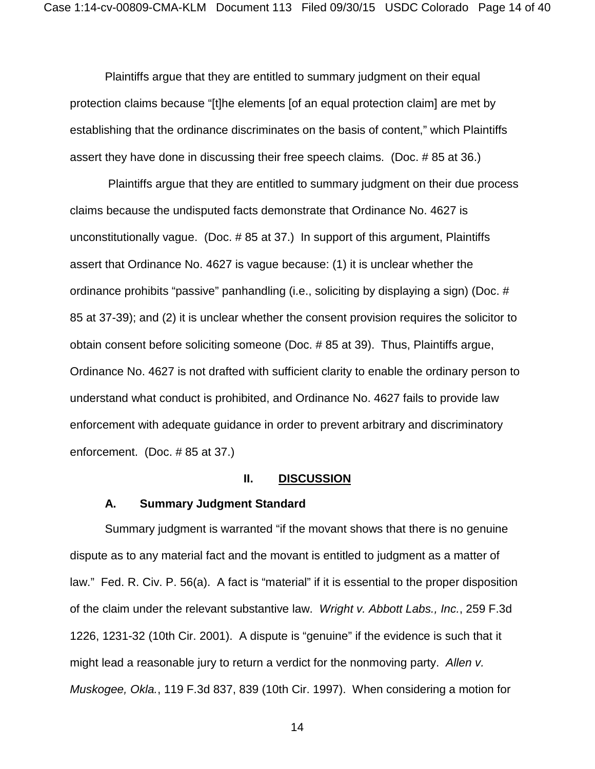Plaintiffs argue that they are entitled to summary judgment on their equal protection claims because "[t]he elements [of an equal protection claim] are met by establishing that the ordinance discriminates on the basis of content," which Plaintiffs assert they have done in discussing their free speech claims. (Doc. # 85 at 36.)

Plaintiffs argue that they are entitled to summary judgment on their due process claims because the undisputed facts demonstrate that Ordinance No. 4627 is unconstitutionally vague. (Doc. # 85 at 37.) In support of this argument, Plaintiffs assert that Ordinance No. 4627 is vague because: (1) it is unclear whether the ordinance prohibits "passive" panhandling (i.e., soliciting by displaying a sign) (Doc. # 85 at 37-39); and (2) it is unclear whether the consent provision requires the solicitor to obtain consent before soliciting someone (Doc. # 85 at 39). Thus, Plaintiffs argue, Ordinance No. 4627 is not drafted with sufficient clarity to enable the ordinary person to understand what conduct is prohibited, and Ordinance No. 4627 fails to provide law enforcement with adequate guidance in order to prevent arbitrary and discriminatory enforcement. (Doc. # 85 at 37.)

## **II. DISCUSSION**

#### **A. Summary Judgment Standard**

Summary judgment is warranted "if the movant shows that there is no genuine dispute as to any material fact and the movant is entitled to judgment as a matter of law." Fed. R. Civ. P. 56(a). A fact is "material" if it is essential to the proper disposition of the claim under the relevant substantive law. *Wright v. Abbott Labs., Inc.*, 259 F.3d 1226, 1231-32 (10th Cir. 2001). A dispute is "genuine" if the evidence is such that it might lead a reasonable jury to return a verdict for the nonmoving party. *Allen v. Muskogee, Okla.*, 119 F.3d 837, 839 (10th Cir. 1997). When considering a motion for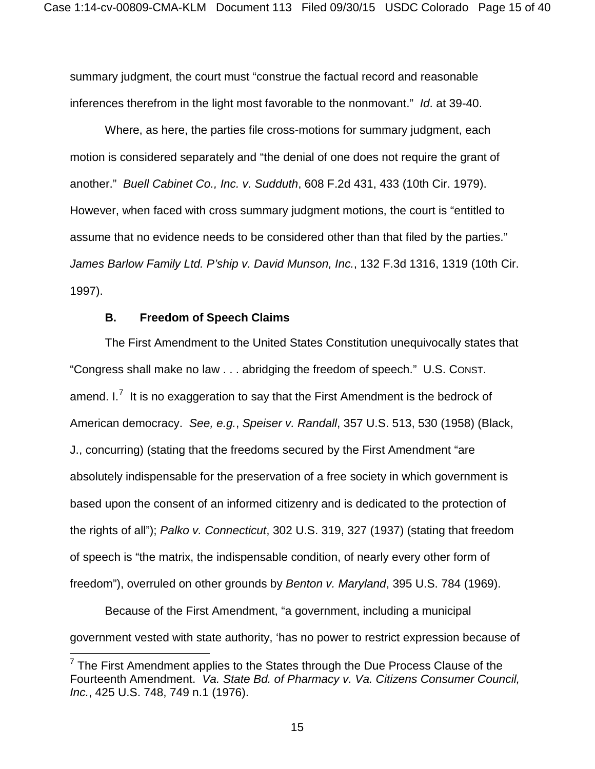summary judgment, the court must "construe the factual record and reasonable inferences therefrom in the light most favorable to the nonmovant." *Id*. at 39-40.

Where, as here, the parties file cross-motions for summary judgment, each motion is considered separately and "the denial of one does not require the grant of another." *Buell Cabinet Co., Inc. v. Sudduth*, 608 F.2d 431, 433 (10th Cir. 1979). However, when faced with cross summary judgment motions, the court is "entitled to assume that no evidence needs to be considered other than that filed by the parties." *James Barlow Family Ltd. P'ship v. David Munson, Inc.*, 132 F.3d 1316, 1319 (10th Cir. 1997).

### **B. Freedom of Speech Claims**

 $\overline{a}$ 

The First Amendment to the United States Constitution unequivocally states that "Congress shall make no law . . . abridging the freedom of speech." U.S. CONST. amend. I. $^7$  $^7$  It is no exaggeration to say that the First Amendment is the bedrock of American democracy. *See, e.g.*, *Speiser v. Randall*, 357 U.S. 513, 530 (1958) (Black, J., concurring) (stating that the freedoms secured by the First Amendment "are absolutely indispensable for the preservation of a free society in which government is based upon the consent of an informed citizenry and is dedicated to the protection of the rights of all"); *Palko v. Connecticut*, 302 U.S. 319, 327 (1937) (stating that freedom of speech is "the matrix, the indispensable condition, of nearly every other form of freedom"), overruled on other grounds by *Benton v. Maryland*, 395 U.S. 784 (1969).

Because of the First Amendment, "a government, including a municipal government vested with state authority, 'has no power to restrict expression because of

<span id="page-14-0"></span> $<sup>7</sup>$  The First Amendment applies to the States through the Due Process Clause of the</sup> Fourteenth Amendment. *Va. State Bd. of Pharmacy v. Va. Citizens Consumer Council, Inc.*, 425 U.S. 748, 749 n.1 (1976).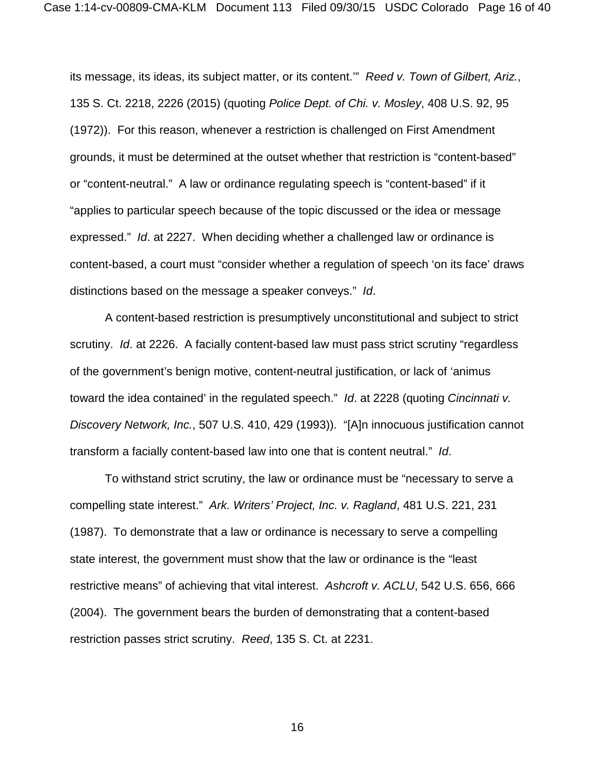its message, its ideas, its subject matter, or its content.'" *Reed v. Town of Gilbert, Ariz.*, 135 S. Ct. 2218, 2226 (2015) (quoting *Police Dept. of Chi. v. Mosley*, 408 U.S. 92, 95 (1972)). For this reason, whenever a restriction is challenged on First Amendment grounds, it must be determined at the outset whether that restriction is "content-based" or "content-neutral." A law or ordinance regulating speech is "content-based" if it "applies to particular speech because of the topic discussed or the idea or message expressed." *Id*. at 2227. When deciding whether a challenged law or ordinance is content-based, a court must "consider whether a regulation of speech 'on its face' draws distinctions based on the message a speaker conveys." *Id*.

A content-based restriction is presumptively unconstitutional and subject to strict scrutiny. *Id*. at 2226. A facially content-based law must pass strict scrutiny "regardless of the government's benign motive, content-neutral justification, or lack of 'animus toward the idea contained' in the regulated speech." *Id*. at 2228 (quoting *Cincinnati v. Discovery Network, Inc.*, 507 U.S. 410, 429 (1993)). "[A]n innocuous justification cannot transform a facially content-based law into one that is content neutral." *Id*.

To withstand strict scrutiny, the law or ordinance must be "necessary to serve a compelling state interest." *Ark. Writers' Project, Inc. v. Ragland*, 481 U.S. 221, 231 (1987). To demonstrate that a law or ordinance is necessary to serve a compelling state interest, the government must show that the law or ordinance is the "least restrictive means" of achieving that vital interest. *Ashcroft v. ACLU*, 542 U.S. 656, 666 (2004). The government bears the burden of demonstrating that a content-based restriction passes strict scrutiny. *Reed*, 135 S. Ct. at 2231.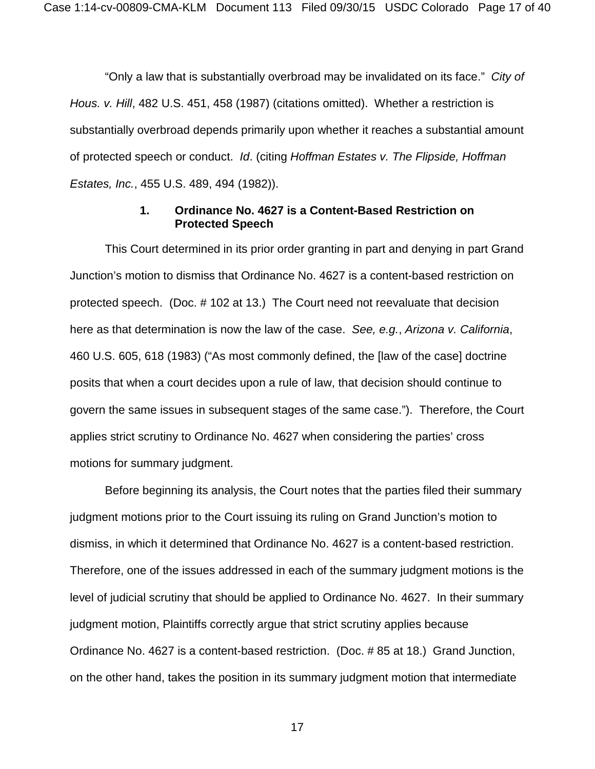"Only a law that is substantially overbroad may be invalidated on its face." *City of Hous. v. Hill*, 482 U.S. 451, 458 (1987) (citations omitted). Whether a restriction is substantially overbroad depends primarily upon whether it reaches a substantial amount of protected speech or conduct. *Id*. (citing *Hoffman Estates v. The Flipside, Hoffman Estates, Inc.*, 455 U.S. 489, 494 (1982)).

## **1. Ordinance No. 4627 is a Content-Based Restriction on Protected Speech**

This Court determined in its prior order granting in part and denying in part Grand Junction's motion to dismiss that Ordinance No. 4627 is a content-based restriction on protected speech. (Doc. # 102 at 13.) The Court need not reevaluate that decision here as that determination is now the law of the case. *See, e.g.*, *Arizona v. California*, 460 U.S. 605, 618 (1983) ("As most commonly defined, the [law of the case] doctrine posits that when a court decides upon a rule of law, that decision should continue to govern the same issues in subsequent stages of the same case."). Therefore, the Court applies strict scrutiny to Ordinance No. 4627 when considering the parties' cross motions for summary judgment.

Before beginning its analysis, the Court notes that the parties filed their summary judgment motions prior to the Court issuing its ruling on Grand Junction's motion to dismiss, in which it determined that Ordinance No. 4627 is a content-based restriction. Therefore, one of the issues addressed in each of the summary judgment motions is the level of judicial scrutiny that should be applied to Ordinance No. 4627. In their summary judgment motion, Plaintiffs correctly argue that strict scrutiny applies because Ordinance No. 4627 is a content-based restriction. (Doc. # 85 at 18.) Grand Junction, on the other hand, takes the position in its summary judgment motion that intermediate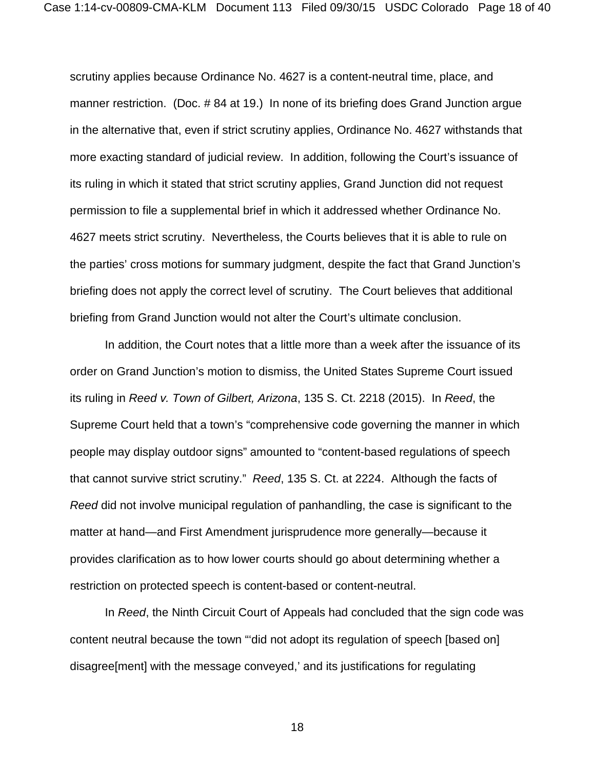scrutiny applies because Ordinance No. 4627 is a content-neutral time, place, and manner restriction. (Doc. # 84 at 19.) In none of its briefing does Grand Junction argue in the alternative that, even if strict scrutiny applies, Ordinance No. 4627 withstands that more exacting standard of judicial review. In addition, following the Court's issuance of its ruling in which it stated that strict scrutiny applies, Grand Junction did not request permission to file a supplemental brief in which it addressed whether Ordinance No. 4627 meets strict scrutiny. Nevertheless, the Courts believes that it is able to rule on the parties' cross motions for summary judgment, despite the fact that Grand Junction's briefing does not apply the correct level of scrutiny. The Court believes that additional briefing from Grand Junction would not alter the Court's ultimate conclusion.

In addition, the Court notes that a little more than a week after the issuance of its order on Grand Junction's motion to dismiss, the United States Supreme Court issued its ruling in *Reed v. Town of Gilbert, Arizona*, 135 S. Ct. 2218 (2015). In *Reed*, the Supreme Court held that a town's "comprehensive code governing the manner in which people may display outdoor signs" amounted to "content-based regulations of speech that cannot survive strict scrutiny." *Reed*, 135 S. Ct. at 2224. Although the facts of *Reed* did not involve municipal regulation of panhandling, the case is significant to the matter at hand—and First Amendment jurisprudence more generally—because it provides clarification as to how lower courts should go about determining whether a restriction on protected speech is content-based or content-neutral.

In *Reed*, the Ninth Circuit Court of Appeals had concluded that the sign code was content neutral because the town "'did not adopt its regulation of speech [based on] disagree[ment] with the message conveyed,' and its justifications for regulating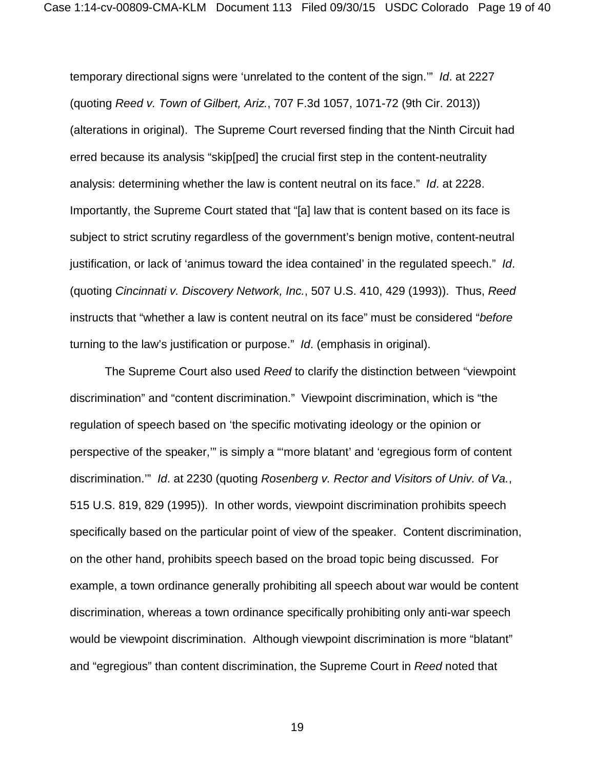temporary directional signs were 'unrelated to the content of the sign.'" *Id*. at 2227 (quoting *Reed v. Town of Gilbert, Ariz.*, 707 F.3d 1057, 1071-72 (9th Cir. 2013)) (alterations in original). The Supreme Court reversed finding that the Ninth Circuit had erred because its analysis "skip[ped] the crucial first step in the content-neutrality analysis: determining whether the law is content neutral on its face." *Id*. at 2228. Importantly, the Supreme Court stated that "[a] law that is content based on its face is subject to strict scrutiny regardless of the government's benign motive, content-neutral justification, or lack of 'animus toward the idea contained' in the regulated speech." *Id*. (quoting *Cincinnati v. Discovery Network, Inc.*, 507 U.S. 410, 429 (1993)). Thus, *Reed* instructs that "whether a law is content neutral on its face" must be considered "*before* turning to the law's justification or purpose." *Id*. (emphasis in original).

The Supreme Court also used *Reed* to clarify the distinction between "viewpoint discrimination" and "content discrimination." Viewpoint discrimination, which is "the regulation of speech based on 'the specific motivating ideology or the opinion or perspective of the speaker,'" is simply a "'more blatant' and 'egregious form of content discrimination.'" *Id*. at 2230 (quoting *Rosenberg v. Rector and Visitors of Univ. of Va.*, 515 U.S. 819, 829 (1995)). In other words, viewpoint discrimination prohibits speech specifically based on the particular point of view of the speaker. Content discrimination, on the other hand, prohibits speech based on the broad topic being discussed. For example, a town ordinance generally prohibiting all speech about war would be content discrimination, whereas a town ordinance specifically prohibiting only anti-war speech would be viewpoint discrimination. Although viewpoint discrimination is more "blatant" and "egregious" than content discrimination, the Supreme Court in *Reed* noted that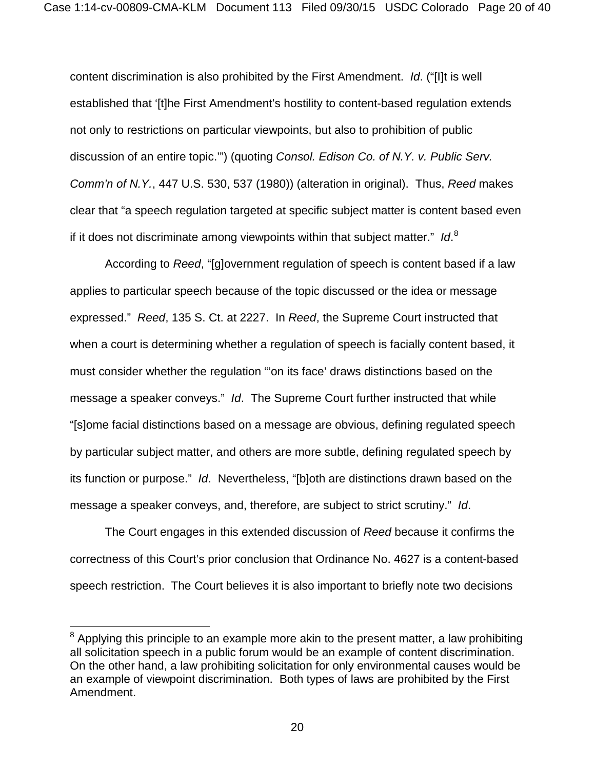content discrimination is also prohibited by the First Amendment. *Id*. ("[I]t is well established that '[t]he First Amendment's hostility to content-based regulation extends not only to restrictions on particular viewpoints, but also to prohibition of public discussion of an entire topic.'") (quoting *Consol. Edison Co. of N.Y. v. Public Serv. Comm'n of N.Y.*, 447 U.S. 530, 537 (1980)) (alteration in original). Thus, *Reed* makes clear that "a speech regulation targeted at specific subject matter is content based even if it does not discriminate among viewpoints within that subject matter." *Id*. [8](#page-19-0)

According to *Reed*, "[g]overnment regulation of speech is content based if a law applies to particular speech because of the topic discussed or the idea or message expressed." *Reed*, 135 S. Ct. at 2227. In *Reed*, the Supreme Court instructed that when a court is determining whether a regulation of speech is facially content based, it must consider whether the regulation "'on its face' draws distinctions based on the message a speaker conveys." *Id*. The Supreme Court further instructed that while "[s]ome facial distinctions based on a message are obvious, defining regulated speech by particular subject matter, and others are more subtle, defining regulated speech by its function or purpose." *Id*. Nevertheless, "[b]oth are distinctions drawn based on the message a speaker conveys, and, therefore, are subject to strict scrutiny." *Id*.

The Court engages in this extended discussion of *Reed* because it confirms the correctness of this Court's prior conclusion that Ordinance No. 4627 is a content-based speech restriction. The Court believes it is also important to briefly note two decisions

 $\overline{\phantom{a}}$ 

<span id="page-19-0"></span> $^8$  Applying this principle to an example more akin to the present matter, a law prohibiting all solicitation speech in a public forum would be an example of content discrimination. On the other hand, a law prohibiting solicitation for only environmental causes would be an example of viewpoint discrimination. Both types of laws are prohibited by the First Amendment.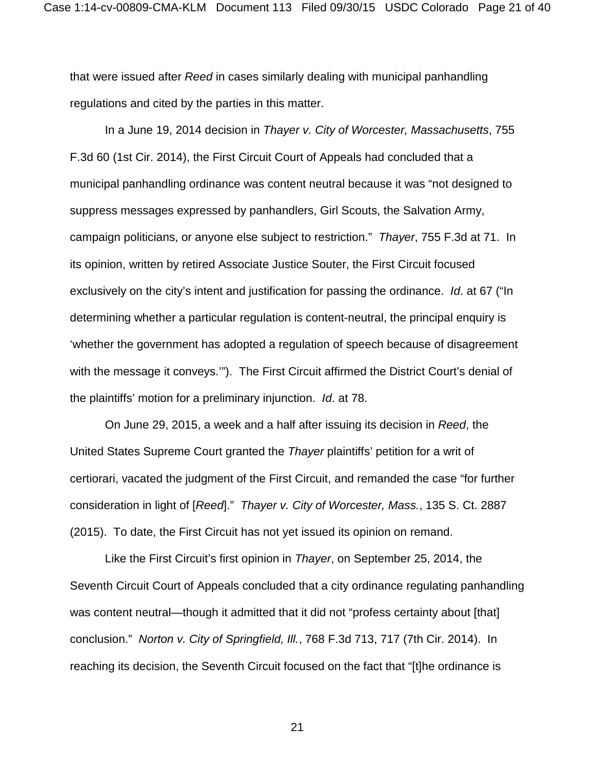that were issued after *Reed* in cases similarly dealing with municipal panhandling regulations and cited by the parties in this matter.

In a June 19, 2014 decision in *Thayer v. City of Worcester, Massachusetts*, 755 F.3d 60 (1st Cir. 2014), the First Circuit Court of Appeals had concluded that a municipal panhandling ordinance was content neutral because it was "not designed to suppress messages expressed by panhandlers, Girl Scouts, the Salvation Army, campaign politicians, or anyone else subject to restriction." *Thayer*, 755 F.3d at 71. In its opinion, written by retired Associate Justice Souter, the First Circuit focused exclusively on the city's intent and justification for passing the ordinance. *Id*. at 67 ("In determining whether a particular regulation is content-neutral, the principal enquiry is 'whether the government has adopted a regulation of speech because of disagreement with the message it conveys.'"). The First Circuit affirmed the District Court's denial of the plaintiffs' motion for a preliminary injunction. *Id*. at 78.

On June 29, 2015, a week and a half after issuing its decision in *Reed*, the United States Supreme Court granted the *Thayer* plaintiffs' petition for a writ of certiorari, vacated the judgment of the First Circuit, and remanded the case "for further consideration in light of [*Reed*]." *Thayer v. City of Worcester, Mass.*, 135 S. Ct. 2887 (2015). To date, the First Circuit has not yet issued its opinion on remand.

Like the First Circuit's first opinion in *Thayer*, on September 25, 2014, the Seventh Circuit Court of Appeals concluded that a city ordinance regulating panhandling was content neutral—though it admitted that it did not "profess certainty about [that] conclusion." *Norton v. City of Springfield, Ill.*, 768 F.3d 713, 717 (7th Cir. 2014). In reaching its decision, the Seventh Circuit focused on the fact that "[t]he ordinance is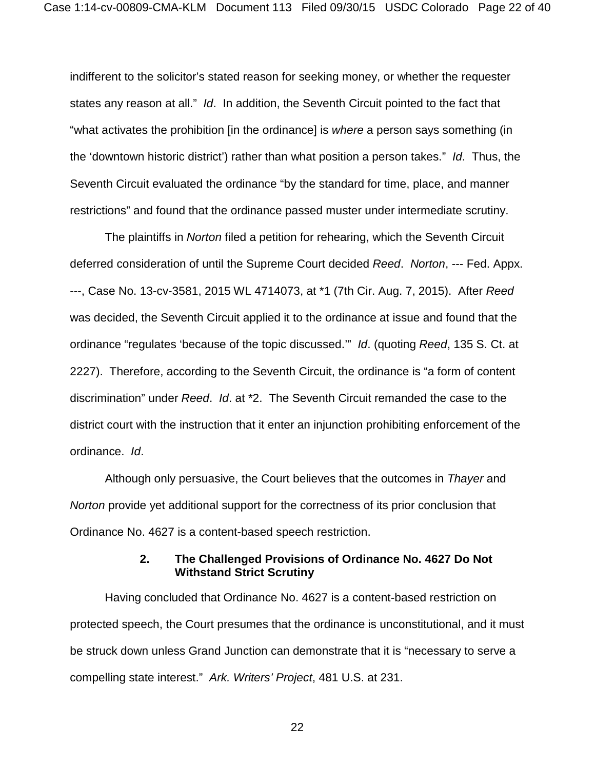indifferent to the solicitor's stated reason for seeking money, or whether the requester states any reason at all." *Id*. In addition, the Seventh Circuit pointed to the fact that "what activates the prohibition [in the ordinance] is *where* a person says something (in the 'downtown historic district') rather than what position a person takes." *Id*. Thus, the Seventh Circuit evaluated the ordinance "by the standard for time, place, and manner restrictions" and found that the ordinance passed muster under intermediate scrutiny.

The plaintiffs in *Norton* filed a petition for rehearing, which the Seventh Circuit deferred consideration of until the Supreme Court decided *Reed*. *Norton*, --- Fed. Appx. ---, Case No. 13-cv-3581, 2015 WL 4714073, at \*1 (7th Cir. Aug. 7, 2015). After *Reed* was decided, the Seventh Circuit applied it to the ordinance at issue and found that the ordinance "regulates 'because of the topic discussed.'" *Id*. (quoting *Reed*, 135 S. Ct. at 2227). Therefore, according to the Seventh Circuit, the ordinance is "a form of content discrimination" under *Reed*. *Id*. at \*2. The Seventh Circuit remanded the case to the district court with the instruction that it enter an injunction prohibiting enforcement of the ordinance. *Id*.

Although only persuasive, the Court believes that the outcomes in *Thayer* and *Norton* provide yet additional support for the correctness of its prior conclusion that Ordinance No. 4627 is a content-based speech restriction.

## **2. The Challenged Provisions of Ordinance No. 4627 Do Not Withstand Strict Scrutiny**

Having concluded that Ordinance No. 4627 is a content-based restriction on protected speech, the Court presumes that the ordinance is unconstitutional, and it must be struck down unless Grand Junction can demonstrate that it is "necessary to serve a compelling state interest." *Ark. Writers' Project*, 481 U.S. at 231.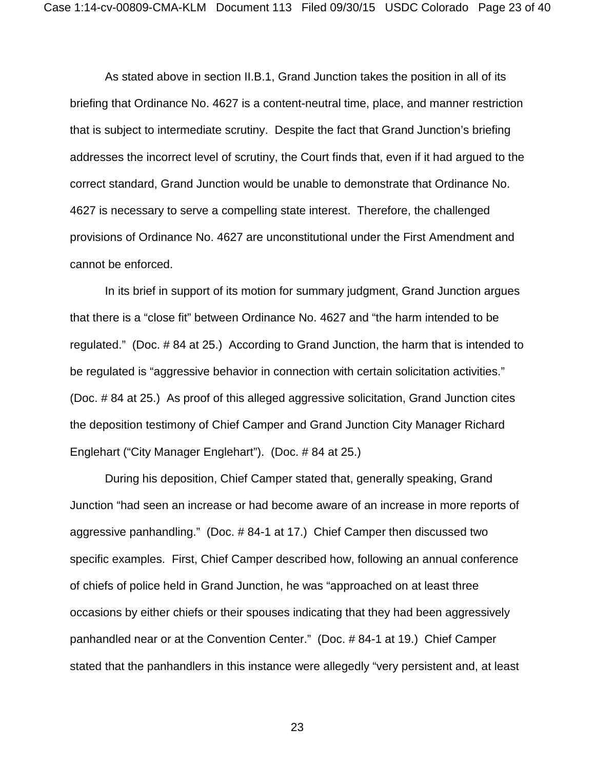As stated above in section II.B.1, Grand Junction takes the position in all of its briefing that Ordinance No. 4627 is a content-neutral time, place, and manner restriction that is subject to intermediate scrutiny. Despite the fact that Grand Junction's briefing addresses the incorrect level of scrutiny, the Court finds that, even if it had argued to the correct standard, Grand Junction would be unable to demonstrate that Ordinance No. 4627 is necessary to serve a compelling state interest. Therefore, the challenged provisions of Ordinance No. 4627 are unconstitutional under the First Amendment and cannot be enforced.

In its brief in support of its motion for summary judgment, Grand Junction argues that there is a "close fit" between Ordinance No. 4627 and "the harm intended to be regulated." (Doc. # 84 at 25.) According to Grand Junction, the harm that is intended to be regulated is "aggressive behavior in connection with certain solicitation activities." (Doc. # 84 at 25.) As proof of this alleged aggressive solicitation, Grand Junction cites the deposition testimony of Chief Camper and Grand Junction City Manager Richard Englehart ("City Manager Englehart"). (Doc. # 84 at 25.)

During his deposition, Chief Camper stated that, generally speaking, Grand Junction "had seen an increase or had become aware of an increase in more reports of aggressive panhandling." (Doc. # 84-1 at 17.) Chief Camper then discussed two specific examples. First, Chief Camper described how, following an annual conference of chiefs of police held in Grand Junction, he was "approached on at least three occasions by either chiefs or their spouses indicating that they had been aggressively panhandled near or at the Convention Center." (Doc. # 84-1 at 19.) Chief Camper stated that the panhandlers in this instance were allegedly "very persistent and, at least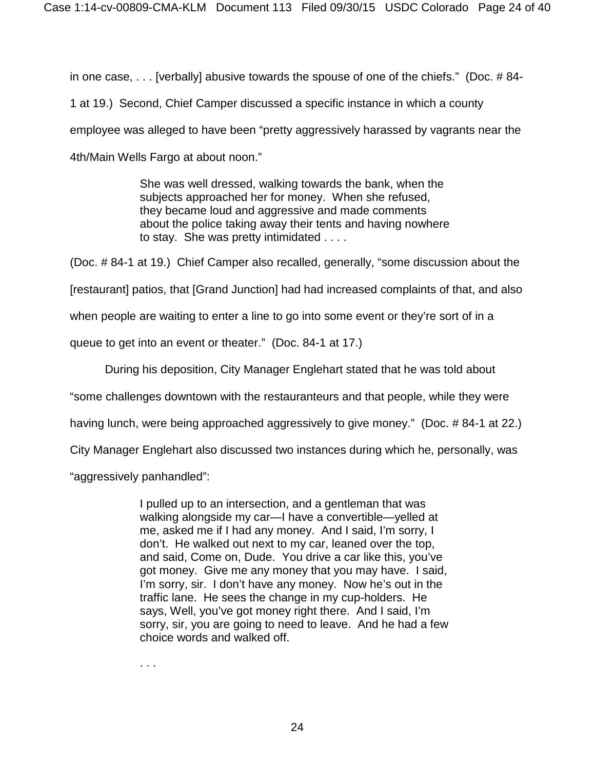in one case, . . . [verbally] abusive towards the spouse of one of the chiefs." (Doc. # 84-

1 at 19.) Second, Chief Camper discussed a specific instance in which a county employee was alleged to have been "pretty aggressively harassed by vagrants near the 4th/Main Wells Fargo at about noon."

> She was well dressed, walking towards the bank, when the subjects approached her for money. When she refused, they became loud and aggressive and made comments about the police taking away their tents and having nowhere to stay. She was pretty intimidated . . . .

(Doc. # 84-1 at 19.) Chief Camper also recalled, generally, "some discussion about the

[restaurant] patios, that [Grand Junction] had had increased complaints of that, and also

when people are waiting to enter a line to go into some event or they're sort of in a

queue to get into an event or theater." (Doc. 84-1 at 17.)

During his deposition, City Manager Englehart stated that he was told about

"some challenges downtown with the restauranteurs and that people, while they were

having lunch, were being approached aggressively to give money." (Doc. # 84-1 at 22.)

City Manager Englehart also discussed two instances during which he, personally, was

"aggressively panhandled":

I pulled up to an intersection, and a gentleman that was walking alongside my car—I have a convertible—yelled at me, asked me if I had any money. And I said, I'm sorry, I don't. He walked out next to my car, leaned over the top, and said, Come on, Dude. You drive a car like this, you've got money. Give me any money that you may have. I said, I'm sorry, sir. I don't have any money. Now he's out in the traffic lane. He sees the change in my cup-holders. He says, Well, you've got money right there. And I said, I'm sorry, sir, you are going to need to leave. And he had a few choice words and walked off.

. . .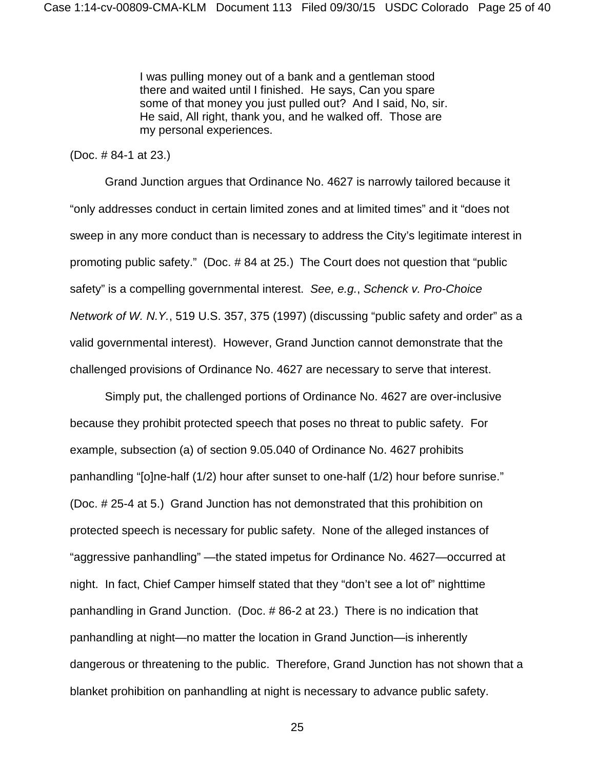I was pulling money out of a bank and a gentleman stood there and waited until I finished. He says, Can you spare some of that money you just pulled out? And I said, No, sir. He said, All right, thank you, and he walked off. Those are my personal experiences.

#### (Doc. # 84-1 at 23.)

Grand Junction argues that Ordinance No. 4627 is narrowly tailored because it "only addresses conduct in certain limited zones and at limited times" and it "does not sweep in any more conduct than is necessary to address the City's legitimate interest in promoting public safety." (Doc. # 84 at 25.) The Court does not question that "public safety" is a compelling governmental interest. *See, e.g.*, *Schenck v. Pro-Choice Network of W. N.Y.*, 519 U.S. 357, 375 (1997) (discussing "public safety and order" as a valid governmental interest). However, Grand Junction cannot demonstrate that the challenged provisions of Ordinance No. 4627 are necessary to serve that interest.

Simply put, the challenged portions of Ordinance No. 4627 are over-inclusive because they prohibit protected speech that poses no threat to public safety. For example, subsection (a) of section 9.05.040 of Ordinance No. 4627 prohibits panhandling "[o]ne-half (1/2) hour after sunset to one-half (1/2) hour before sunrise." (Doc. # 25-4 at 5.) Grand Junction has not demonstrated that this prohibition on protected speech is necessary for public safety. None of the alleged instances of "aggressive panhandling" —the stated impetus for Ordinance No. 4627—occurred at night. In fact, Chief Camper himself stated that they "don't see a lot of" nighttime panhandling in Grand Junction. (Doc. # 86-2 at 23.) There is no indication that panhandling at night—no matter the location in Grand Junction—is inherently dangerous or threatening to the public. Therefore, Grand Junction has not shown that a blanket prohibition on panhandling at night is necessary to advance public safety.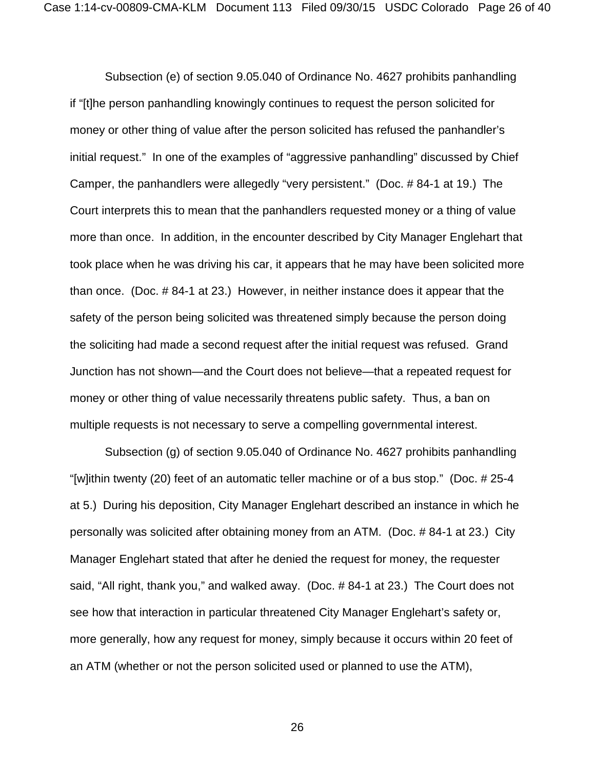Subsection (e) of section 9.05.040 of Ordinance No. 4627 prohibits panhandling if "[t]he person panhandling knowingly continues to request the person solicited for money or other thing of value after the person solicited has refused the panhandler's initial request." In one of the examples of "aggressive panhandling" discussed by Chief Camper, the panhandlers were allegedly "very persistent." (Doc. # 84-1 at 19.) The Court interprets this to mean that the panhandlers requested money or a thing of value more than once. In addition, in the encounter described by City Manager Englehart that took place when he was driving his car, it appears that he may have been solicited more than once. (Doc. # 84-1 at 23.) However, in neither instance does it appear that the safety of the person being solicited was threatened simply because the person doing the soliciting had made a second request after the initial request was refused. Grand Junction has not shown—and the Court does not believe—that a repeated request for money or other thing of value necessarily threatens public safety. Thus, a ban on multiple requests is not necessary to serve a compelling governmental interest.

Subsection (g) of section 9.05.040 of Ordinance No. 4627 prohibits panhandling "[w]ithin twenty (20) feet of an automatic teller machine or of a bus stop." (Doc. # 25-4 at 5.) During his deposition, City Manager Englehart described an instance in which he personally was solicited after obtaining money from an ATM. (Doc. # 84-1 at 23.) City Manager Englehart stated that after he denied the request for money, the requester said, "All right, thank you," and walked away. (Doc. # 84-1 at 23.) The Court does not see how that interaction in particular threatened City Manager Englehart's safety or, more generally, how any request for money, simply because it occurs within 20 feet of an ATM (whether or not the person solicited used or planned to use the ATM),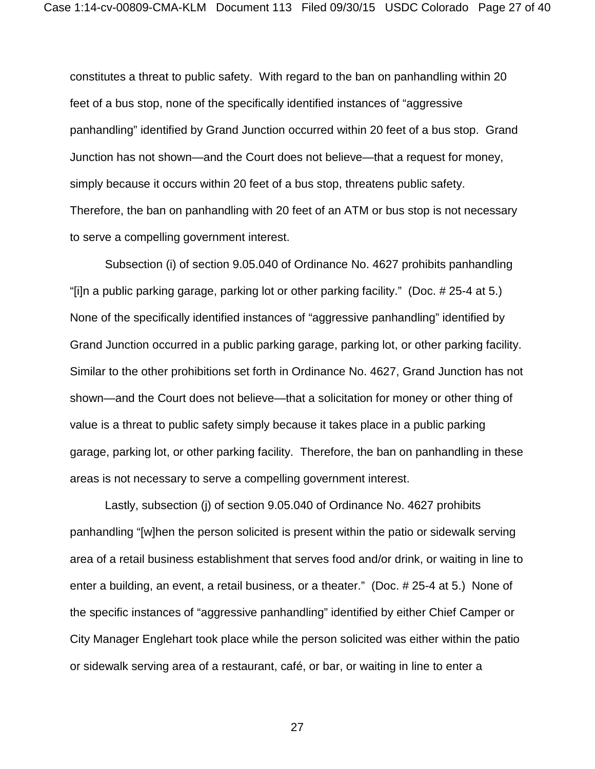constitutes a threat to public safety. With regard to the ban on panhandling within 20 feet of a bus stop, none of the specifically identified instances of "aggressive panhandling" identified by Grand Junction occurred within 20 feet of a bus stop. Grand Junction has not shown—and the Court does not believe—that a request for money, simply because it occurs within 20 feet of a bus stop, threatens public safety. Therefore, the ban on panhandling with 20 feet of an ATM or bus stop is not necessary to serve a compelling government interest.

Subsection (i) of section 9.05.040 of Ordinance No. 4627 prohibits panhandling "[i]n a public parking garage, parking lot or other parking facility." (Doc. # 25-4 at 5.) None of the specifically identified instances of "aggressive panhandling" identified by Grand Junction occurred in a public parking garage, parking lot, or other parking facility. Similar to the other prohibitions set forth in Ordinance No. 4627, Grand Junction has not shown—and the Court does not believe—that a solicitation for money or other thing of value is a threat to public safety simply because it takes place in a public parking garage, parking lot, or other parking facility. Therefore, the ban on panhandling in these areas is not necessary to serve a compelling government interest.

Lastly, subsection (j) of section 9.05.040 of Ordinance No. 4627 prohibits panhandling "[w]hen the person solicited is present within the patio or sidewalk serving area of a retail business establishment that serves food and/or drink, or waiting in line to enter a building, an event, a retail business, or a theater." (Doc. # 25-4 at 5.) None of the specific instances of "aggressive panhandling" identified by either Chief Camper or City Manager Englehart took place while the person solicited was either within the patio or sidewalk serving area of a restaurant, café, or bar, or waiting in line to enter a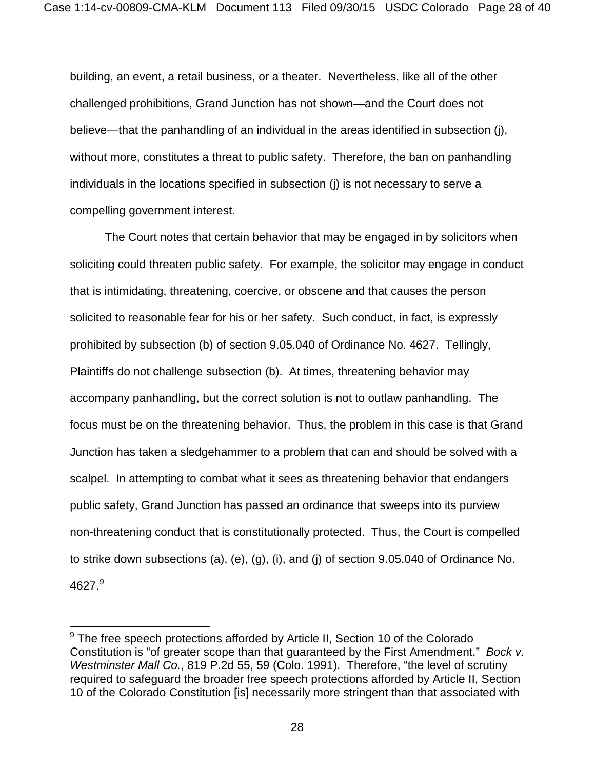building, an event, a retail business, or a theater. Nevertheless, like all of the other challenged prohibitions, Grand Junction has not shown—and the Court does not believe—that the panhandling of an individual in the areas identified in subsection (j), without more, constitutes a threat to public safety. Therefore, the ban on panhandling individuals in the locations specified in subsection (j) is not necessary to serve a compelling government interest.

The Court notes that certain behavior that may be engaged in by solicitors when soliciting could threaten public safety. For example, the solicitor may engage in conduct that is intimidating, threatening, coercive, or obscene and that causes the person solicited to reasonable fear for his or her safety. Such conduct, in fact, is expressly prohibited by subsection (b) of section 9.05.040 of Ordinance No. 4627. Tellingly, Plaintiffs do not challenge subsection (b). At times, threatening behavior may accompany panhandling, but the correct solution is not to outlaw panhandling. The focus must be on the threatening behavior. Thus, the problem in this case is that Grand Junction has taken a sledgehammer to a problem that can and should be solved with a scalpel. In attempting to combat what it sees as threatening behavior that endangers public safety, Grand Junction has passed an ordinance that sweeps into its purview non-threatening conduct that is constitutionally protected. Thus, the Court is compelled to strike down subsections (a), (e), (g), (i), and (j) of section 9.05.040 of Ordinance No.  $4627.<sup>9</sup>$  $4627.<sup>9</sup>$  $4627.<sup>9</sup>$ 

 $\overline{\phantom{a}}$ 

<span id="page-27-0"></span> $9$  The free speech protections afforded by Article II, Section 10 of the Colorado Constitution is "of greater scope than that guaranteed by the First Amendment." *Bock v. Westminster Mall Co.*, 819 P.2d 55, 59 (Colo. 1991). Therefore, "the level of scrutiny required to safeguard the broader free speech protections afforded by Article II, Section 10 of the Colorado Constitution [is] necessarily more stringent than that associated with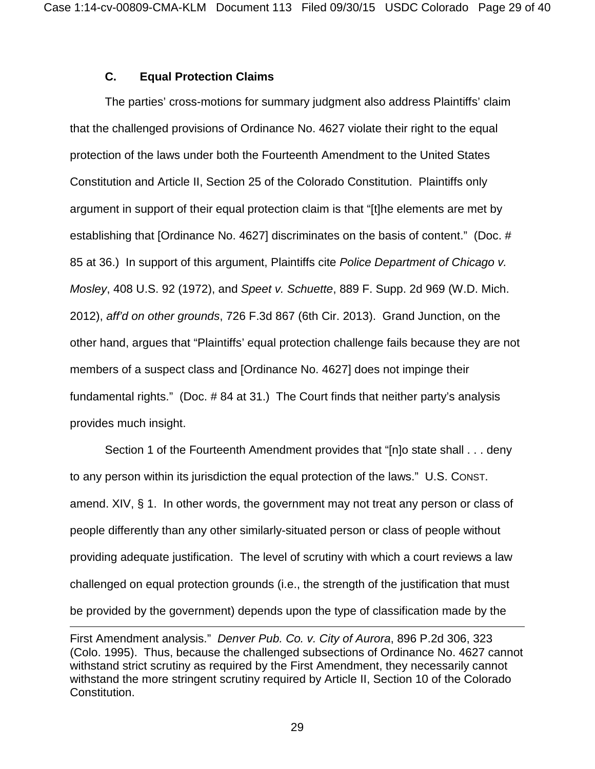# **C. Equal Protection Claims**

 $\overline{a}$ 

The parties' cross-motions for summary judgment also address Plaintiffs' claim that the challenged provisions of Ordinance No. 4627 violate their right to the equal protection of the laws under both the Fourteenth Amendment to the United States Constitution and Article II, Section 25 of the Colorado Constitution. Plaintiffs only argument in support of their equal protection claim is that "[t]he elements are met by establishing that [Ordinance No. 4627] discriminates on the basis of content." (Doc. # 85 at 36.) In support of this argument, Plaintiffs cite *Police Department of Chicago v. Mosley*, 408 U.S. 92 (1972), and *Speet v. Schuette*, 889 F. Supp. 2d 969 (W.D. Mich. 2012), *aff'd on other grounds*, 726 F.3d 867 (6th Cir. 2013). Grand Junction, on the other hand, argues that "Plaintiffs' equal protection challenge fails because they are not members of a suspect class and [Ordinance No. 4627] does not impinge their fundamental rights." (Doc. # 84 at 31.) The Court finds that neither party's analysis provides much insight.

Section 1 of the Fourteenth Amendment provides that "[n]o state shall . . . deny to any person within its jurisdiction the equal protection of the laws." U.S. CONST. amend. XIV, § 1. In other words, the government may not treat any person or class of people differently than any other similarly-situated person or class of people without providing adequate justification. The level of scrutiny with which a court reviews a law challenged on equal protection grounds (i.e., the strength of the justification that must be provided by the government) depends upon the type of classification made by the

First Amendment analysis." *Denver Pub. Co. v. City of Aurora*, 896 P.2d 306, 323 (Colo. 1995). Thus, because the challenged subsections of Ordinance No. 4627 cannot withstand strict scrutiny as required by the First Amendment, they necessarily cannot withstand the more stringent scrutiny required by Article II, Section 10 of the Colorado Constitution.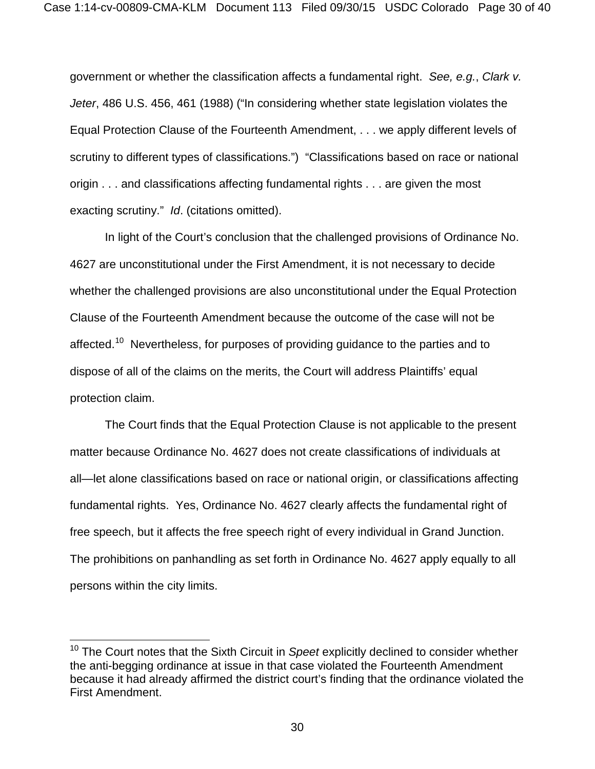government or whether the classification affects a fundamental right. *See, e.g.*, *Clark v. Jeter*, 486 U.S. 456, 461 (1988) ("In considering whether state legislation violates the Equal Protection Clause of the Fourteenth Amendment, . . . we apply different levels of scrutiny to different types of classifications.") "Classifications based on race or national origin . . . and classifications affecting fundamental rights . . . are given the most exacting scrutiny." *Id*. (citations omitted).

In light of the Court's conclusion that the challenged provisions of Ordinance No. 4627 are unconstitutional under the First Amendment, it is not necessary to decide whether the challenged provisions are also unconstitutional under the Equal Protection Clause of the Fourteenth Amendment because the outcome of the case will not be affected.<sup>[10](#page-29-0)</sup> Nevertheless, for purposes of providing guidance to the parties and to dispose of all of the claims on the merits, the Court will address Plaintiffs' equal protection claim.

The Court finds that the Equal Protection Clause is not applicable to the present matter because Ordinance No. 4627 does not create classifications of individuals at all—let alone classifications based on race or national origin, or classifications affecting fundamental rights. Yes, Ordinance No. 4627 clearly affects the fundamental right of free speech, but it affects the free speech right of every individual in Grand Junction. The prohibitions on panhandling as set forth in Ordinance No. 4627 apply equally to all persons within the city limits.

 $\overline{\phantom{a}}$ 

<span id="page-29-0"></span><sup>10</sup> The Court notes that the Sixth Circuit in *Speet* explicitly declined to consider whether the anti-begging ordinance at issue in that case violated the Fourteenth Amendment because it had already affirmed the district court's finding that the ordinance violated the First Amendment.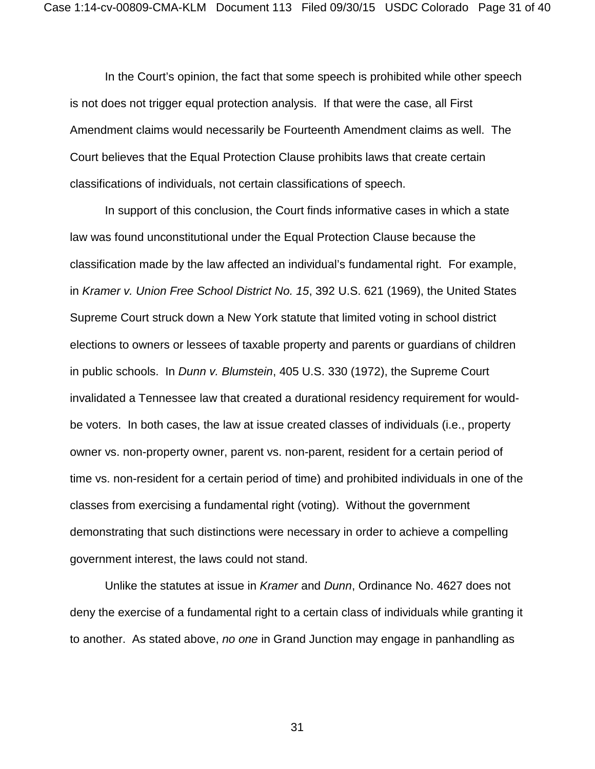In the Court's opinion, the fact that some speech is prohibited while other speech is not does not trigger equal protection analysis. If that were the case, all First Amendment claims would necessarily be Fourteenth Amendment claims as well. The Court believes that the Equal Protection Clause prohibits laws that create certain classifications of individuals, not certain classifications of speech.

In support of this conclusion, the Court finds informative cases in which a state law was found unconstitutional under the Equal Protection Clause because the classification made by the law affected an individual's fundamental right. For example, in *Kramer v. Union Free School District No. 15*, 392 U.S. 621 (1969), the United States Supreme Court struck down a New York statute that limited voting in school district elections to owners or lessees of taxable property and parents or guardians of children in public schools. In *Dunn v. Blumstein*, 405 U.S. 330 (1972), the Supreme Court invalidated a Tennessee law that created a durational residency requirement for wouldbe voters. In both cases, the law at issue created classes of individuals (i.e., property owner vs. non-property owner, parent vs. non-parent, resident for a certain period of time vs. non-resident for a certain period of time) and prohibited individuals in one of the classes from exercising a fundamental right (voting). Without the government demonstrating that such distinctions were necessary in order to achieve a compelling government interest, the laws could not stand.

Unlike the statutes at issue in *Kramer* and *Dunn*, Ordinance No. 4627 does not deny the exercise of a fundamental right to a certain class of individuals while granting it to another. As stated above, *no one* in Grand Junction may engage in panhandling as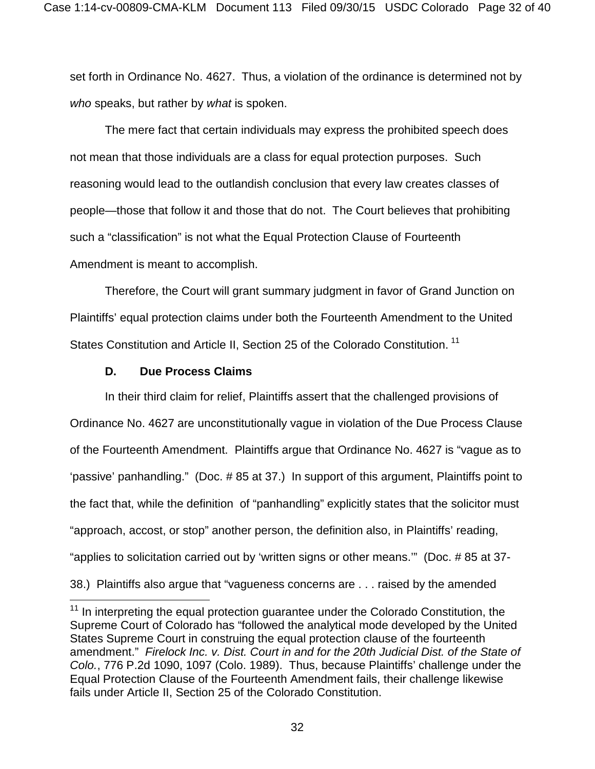set forth in Ordinance No. 4627. Thus, a violation of the ordinance is determined not by *who* speaks, but rather by *what* is spoken.

The mere fact that certain individuals may express the prohibited speech does not mean that those individuals are a class for equal protection purposes. Such reasoning would lead to the outlandish conclusion that every law creates classes of people—those that follow it and those that do not. The Court believes that prohibiting such a "classification" is not what the Equal Protection Clause of Fourteenth Amendment is meant to accomplish.

Therefore, the Court will grant summary judgment in favor of Grand Junction on Plaintiffs' equal protection claims under both the Fourteenth Amendment to the United States Constitution and Article II, Section 25 of the Colorado Constitution.<sup>[11](#page-31-0)</sup>

## **D. Due Process Claims**

 $\overline{\phantom{a}}$ 

In their third claim for relief, Plaintiffs assert that the challenged provisions of Ordinance No. 4627 are unconstitutionally vague in violation of the Due Process Clause of the Fourteenth Amendment. Plaintiffs argue that Ordinance No. 4627 is "vague as to 'passive' panhandling." (Doc. # 85 at 37.) In support of this argument, Plaintiffs point to the fact that, while the definition of "panhandling" explicitly states that the solicitor must "approach, accost, or stop" another person, the definition also, in Plaintiffs' reading, "applies to solicitation carried out by 'written signs or other means.'" (Doc. # 85 at 37- 38.) Plaintiffs also argue that "vagueness concerns are . . . raised by the amended

<span id="page-31-0"></span><sup>&</sup>lt;sup>11</sup> In interpreting the equal protection guarantee under the Colorado Constitution, the Supreme Court of Colorado has "followed the analytical mode developed by the United States Supreme Court in construing the equal protection clause of the fourteenth amendment." *Firelock Inc. v. Dist. Court in and for the 20th Judicial Dist. of the State of Colo.*, 776 P.2d 1090, 1097 (Colo. 1989). Thus, because Plaintiffs' challenge under the Equal Protection Clause of the Fourteenth Amendment fails, their challenge likewise fails under Article II, Section 25 of the Colorado Constitution.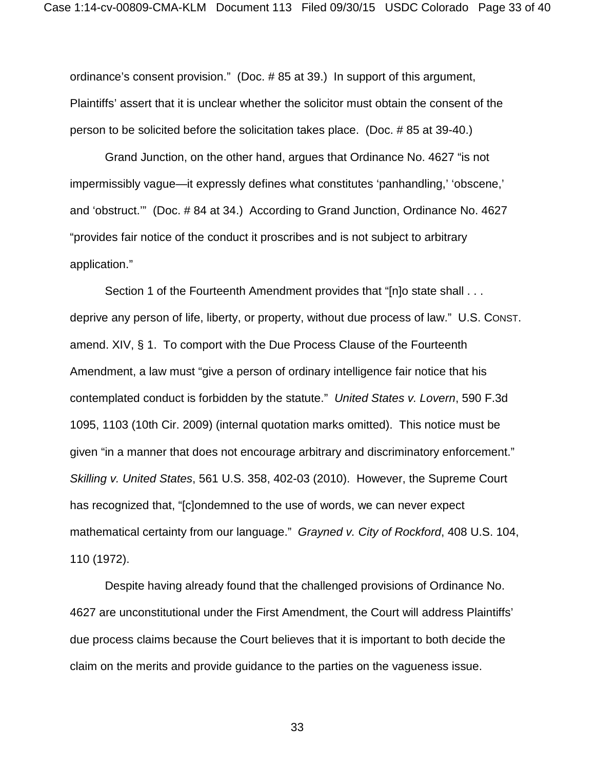ordinance's consent provision." (Doc. # 85 at 39.) In support of this argument, Plaintiffs' assert that it is unclear whether the solicitor must obtain the consent of the person to be solicited before the solicitation takes place. (Doc. # 85 at 39-40.)

Grand Junction, on the other hand, argues that Ordinance No. 4627 "is not impermissibly vague—it expressly defines what constitutes 'panhandling,' 'obscene,' and 'obstruct.'" (Doc. # 84 at 34.) According to Grand Junction, Ordinance No. 4627 "provides fair notice of the conduct it proscribes and is not subject to arbitrary application."

Section 1 of the Fourteenth Amendment provides that "[n]o state shall . . . deprive any person of life, liberty, or property, without due process of law." U.S. CONST. amend. XIV, § 1. To comport with the Due Process Clause of the Fourteenth Amendment, a law must "give a person of ordinary intelligence fair notice that his contemplated conduct is forbidden by the statute." *United States v. Lovern*, 590 F.3d 1095, 1103 (10th Cir. 2009) (internal quotation marks omitted). This notice must be given "in a manner that does not encourage arbitrary and discriminatory enforcement." *Skilling v. United States*, 561 U.S. 358, 402-03 (2010). However, the Supreme Court has recognized that, "[c]ondemned to the use of words, we can never expect mathematical certainty from our language." *Grayned v. City of Rockford*, 408 U.S. 104, 110 (1972).

Despite having already found that the challenged provisions of Ordinance No. 4627 are unconstitutional under the First Amendment, the Court will address Plaintiffs' due process claims because the Court believes that it is important to both decide the claim on the merits and provide guidance to the parties on the vagueness issue.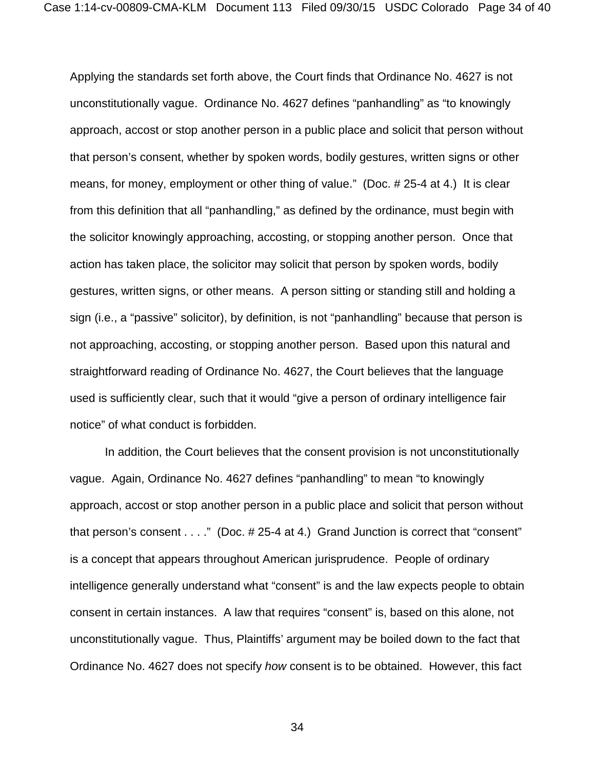Applying the standards set forth above, the Court finds that Ordinance No. 4627 is not unconstitutionally vague. Ordinance No. 4627 defines "panhandling" as "to knowingly approach, accost or stop another person in a public place and solicit that person without that person's consent, whether by spoken words, bodily gestures, written signs or other means, for money, employment or other thing of value." (Doc. # 25-4 at 4.) It is clear from this definition that all "panhandling," as defined by the ordinance, must begin with the solicitor knowingly approaching, accosting, or stopping another person. Once that action has taken place, the solicitor may solicit that person by spoken words, bodily gestures, written signs, or other means. A person sitting or standing still and holding a sign (i.e., a "passive" solicitor), by definition, is not "panhandling" because that person is not approaching, accosting, or stopping another person. Based upon this natural and straightforward reading of Ordinance No. 4627, the Court believes that the language used is sufficiently clear, such that it would "give a person of ordinary intelligence fair notice" of what conduct is forbidden.

In addition, the Court believes that the consent provision is not unconstitutionally vague. Again, Ordinance No. 4627 defines "panhandling" to mean "to knowingly approach, accost or stop another person in a public place and solicit that person without that person's consent . . . ." (Doc. # 25-4 at 4.) Grand Junction is correct that "consent" is a concept that appears throughout American jurisprudence. People of ordinary intelligence generally understand what "consent" is and the law expects people to obtain consent in certain instances. A law that requires "consent" is, based on this alone, not unconstitutionally vague. Thus, Plaintiffs' argument may be boiled down to the fact that Ordinance No. 4627 does not specify *how* consent is to be obtained. However, this fact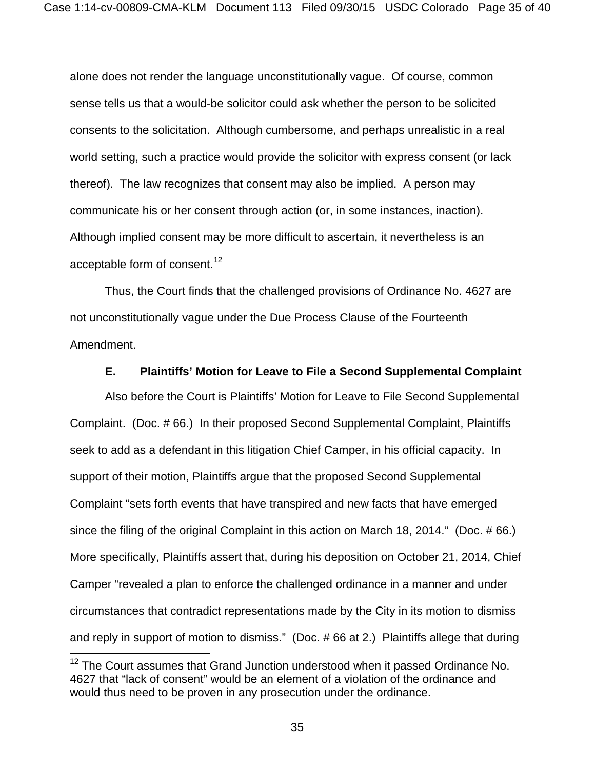alone does not render the language unconstitutionally vague. Of course, common sense tells us that a would-be solicitor could ask whether the person to be solicited consents to the solicitation. Although cumbersome, and perhaps unrealistic in a real world setting, such a practice would provide the solicitor with express consent (or lack thereof). The law recognizes that consent may also be implied. A person may communicate his or her consent through action (or, in some instances, inaction). Although implied consent may be more difficult to ascertain, it nevertheless is an acceptable form of consent.<sup>[12](#page-34-0)</sup>

Thus, the Court finds that the challenged provisions of Ordinance No. 4627 are not unconstitutionally vague under the Due Process Clause of the Fourteenth Amendment.

## **E. Plaintiffs' Motion for Leave to File a Second Supplemental Complaint**

Also before the Court is Plaintiffs' Motion for Leave to File Second Supplemental Complaint. (Doc. # 66.) In their proposed Second Supplemental Complaint, Plaintiffs seek to add as a defendant in this litigation Chief Camper, in his official capacity. In support of their motion, Plaintiffs argue that the proposed Second Supplemental Complaint "sets forth events that have transpired and new facts that have emerged since the filing of the original Complaint in this action on March 18, 2014." (Doc. # 66.) More specifically, Plaintiffs assert that, during his deposition on October 21, 2014, Chief Camper "revealed a plan to enforce the challenged ordinance in a manner and under circumstances that contradict representations made by the City in its motion to dismiss and reply in support of motion to dismiss." (Doc. # 66 at 2.) Plaintiffs allege that during

 $\overline{\phantom{a}}$ 

<span id="page-34-0"></span><sup>&</sup>lt;sup>12</sup> The Court assumes that Grand Junction understood when it passed Ordinance No. 4627 that "lack of consent" would be an element of a violation of the ordinance and would thus need to be proven in any prosecution under the ordinance.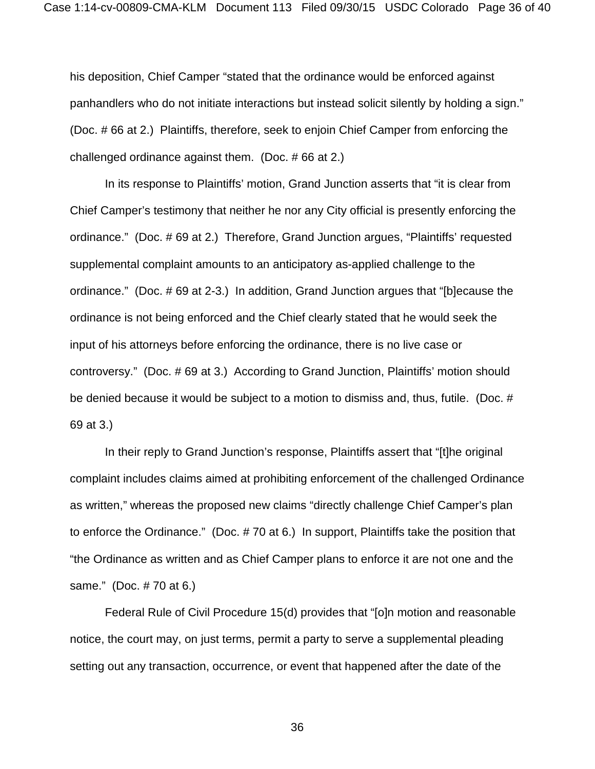his deposition, Chief Camper "stated that the ordinance would be enforced against panhandlers who do not initiate interactions but instead solicit silently by holding a sign." (Doc. # 66 at 2.) Plaintiffs, therefore, seek to enjoin Chief Camper from enforcing the challenged ordinance against them. (Doc. # 66 at 2.)

In its response to Plaintiffs' motion, Grand Junction asserts that "it is clear from Chief Camper's testimony that neither he nor any City official is presently enforcing the ordinance." (Doc. # 69 at 2.) Therefore, Grand Junction argues, "Plaintiffs' requested supplemental complaint amounts to an anticipatory as-applied challenge to the ordinance." (Doc. # 69 at 2-3.) In addition, Grand Junction argues that "[b]ecause the ordinance is not being enforced and the Chief clearly stated that he would seek the input of his attorneys before enforcing the ordinance, there is no live case or controversy." (Doc. # 69 at 3.) According to Grand Junction, Plaintiffs' motion should be denied because it would be subject to a motion to dismiss and, thus, futile. (Doc. # 69 at 3.)

In their reply to Grand Junction's response, Plaintiffs assert that "[t]he original complaint includes claims aimed at prohibiting enforcement of the challenged Ordinance as written," whereas the proposed new claims "directly challenge Chief Camper's plan to enforce the Ordinance." (Doc. # 70 at 6.) In support, Plaintiffs take the position that "the Ordinance as written and as Chief Camper plans to enforce it are not one and the same." (Doc. # 70 at 6.)

Federal Rule of Civil Procedure 15(d) provides that "[o]n motion and reasonable notice, the court may, on just terms, permit a party to serve a supplemental pleading setting out any transaction, occurrence, or event that happened after the date of the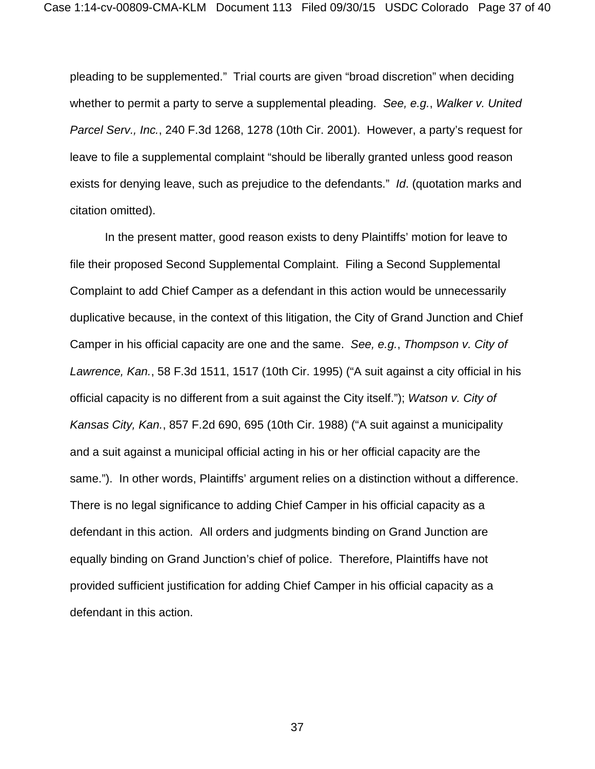pleading to be supplemented." Trial courts are given "broad discretion" when deciding whether to permit a party to serve a supplemental pleading. *See, e.g.*, *Walker v. United Parcel Serv., Inc.*, 240 F.3d 1268, 1278 (10th Cir. 2001). However, a party's request for leave to file a supplemental complaint "should be liberally granted unless good reason exists for denying leave, such as prejudice to the defendants." *Id*. (quotation marks and citation omitted).

In the present matter, good reason exists to deny Plaintiffs' motion for leave to file their proposed Second Supplemental Complaint. Filing a Second Supplemental Complaint to add Chief Camper as a defendant in this action would be unnecessarily duplicative because, in the context of this litigation, the City of Grand Junction and Chief Camper in his official capacity are one and the same. *See, e.g.*, *Thompson v. City of Lawrence, Kan.*, 58 F.3d 1511, 1517 (10th Cir. 1995) ("A suit against a city official in his official capacity is no different from a suit against the City itself."); *Watson v. City of Kansas City, Kan.*, 857 F.2d 690, 695 (10th Cir. 1988) ("A suit against a municipality and a suit against a municipal official acting in his or her official capacity are the same."). In other words, Plaintiffs' argument relies on a distinction without a difference. There is no legal significance to adding Chief Camper in his official capacity as a defendant in this action. All orders and judgments binding on Grand Junction are equally binding on Grand Junction's chief of police. Therefore, Plaintiffs have not provided sufficient justification for adding Chief Camper in his official capacity as a defendant in this action.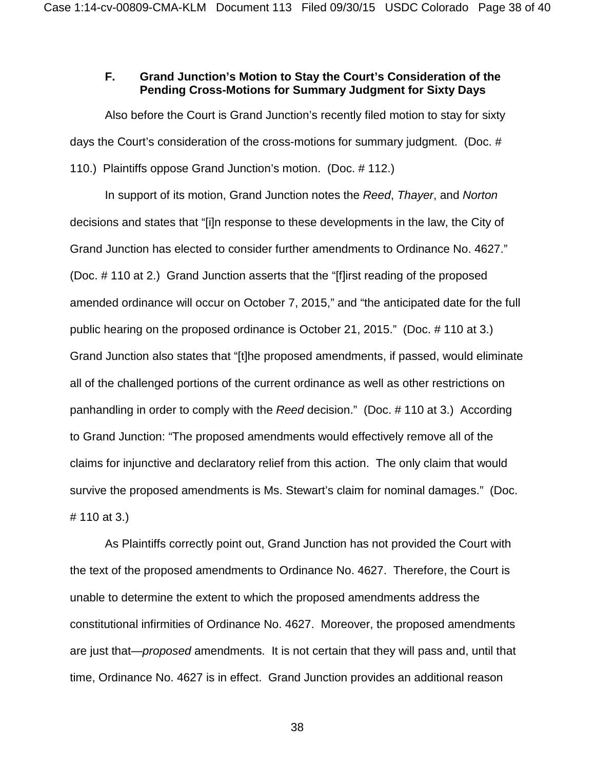## **F. Grand Junction's Motion to Stay the Court's Consideration of the Pending Cross-Motions for Summary Judgment for Sixty Days**

Also before the Court is Grand Junction's recently filed motion to stay for sixty days the Court's consideration of the cross-motions for summary judgment. (Doc. # 110.) Plaintiffs oppose Grand Junction's motion. (Doc. # 112.)

In support of its motion, Grand Junction notes the *Reed*, *Thayer*, and *Norton* decisions and states that "[i]n response to these developments in the law, the City of Grand Junction has elected to consider further amendments to Ordinance No. 4627." (Doc. # 110 at 2.) Grand Junction asserts that the "[f]irst reading of the proposed amended ordinance will occur on October 7, 2015," and "the anticipated date for the full public hearing on the proposed ordinance is October 21, 2015." (Doc. # 110 at 3.) Grand Junction also states that "[t]he proposed amendments, if passed, would eliminate all of the challenged portions of the current ordinance as well as other restrictions on panhandling in order to comply with the *Reed* decision." (Doc. # 110 at 3.) According to Grand Junction: "The proposed amendments would effectively remove all of the claims for injunctive and declaratory relief from this action. The only claim that would survive the proposed amendments is Ms. Stewart's claim for nominal damages." (Doc. # 110 at 3.)

As Plaintiffs correctly point out, Grand Junction has not provided the Court with the text of the proposed amendments to Ordinance No. 4627. Therefore, the Court is unable to determine the extent to which the proposed amendments address the constitutional infirmities of Ordinance No. 4627. Moreover, the proposed amendments are just that—*proposed* amendments. It is not certain that they will pass and, until that time, Ordinance No. 4627 is in effect. Grand Junction provides an additional reason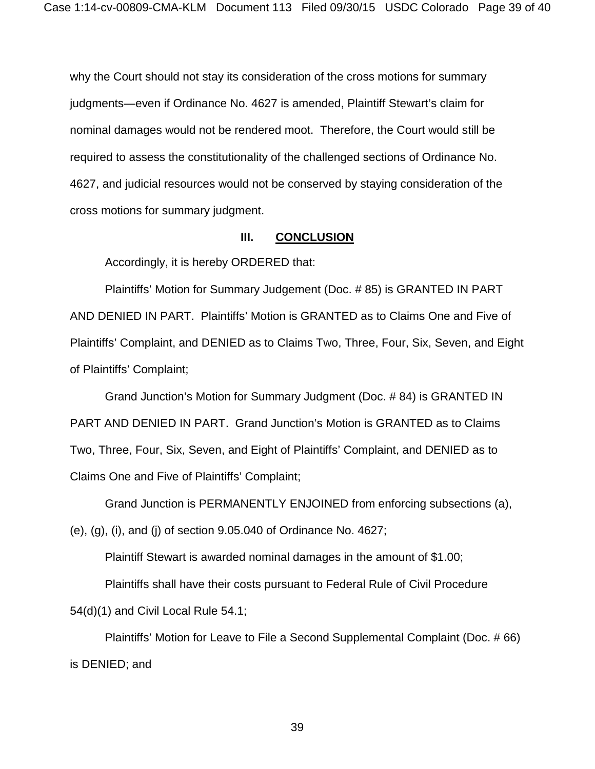why the Court should not stay its consideration of the cross motions for summary judgments—even if Ordinance No. 4627 is amended, Plaintiff Stewart's claim for nominal damages would not be rendered moot. Therefore, the Court would still be required to assess the constitutionality of the challenged sections of Ordinance No. 4627, and judicial resources would not be conserved by staying consideration of the cross motions for summary judgment.

## **III. CONCLUSION**

Accordingly, it is hereby ORDERED that:

Plaintiffs' Motion for Summary Judgement (Doc. # 85) is GRANTED IN PART AND DENIED IN PART. Plaintiffs' Motion is GRANTED as to Claims One and Five of Plaintiffs' Complaint, and DENIED as to Claims Two, Three, Four, Six, Seven, and Eight of Plaintiffs' Complaint;

Grand Junction's Motion for Summary Judgment (Doc. # 84) is GRANTED IN PART AND DENIED IN PART. Grand Junction's Motion is GRANTED as to Claims Two, Three, Four, Six, Seven, and Eight of Plaintiffs' Complaint, and DENIED as to Claims One and Five of Plaintiffs' Complaint;

Grand Junction is PERMANENTLY ENJOINED from enforcing subsections (a),

(e), (g), (i), and (j) of section 9.05.040 of Ordinance No. 4627;

Plaintiff Stewart is awarded nominal damages in the amount of \$1.00;

Plaintiffs shall have their costs pursuant to Federal Rule of Civil Procedure

54(d)(1) and Civil Local Rule 54.1;

Plaintiffs' Motion for Leave to File a Second Supplemental Complaint (Doc. # 66) is DENIED; and